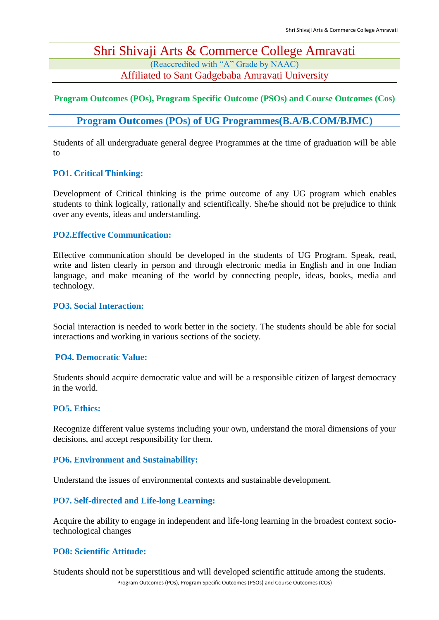### Shri Shivaji Arts & Commerce College Amravati (Reaccredited with "A" Grade by NAAC)

Affiliated to Sant Gadgebaba Amravati University

#### **Program Outcomes (POs), Program Specific Outcome (PSOs) and Course Outcomes (Cos)**

#### **Program Outcomes (POs) of UG Programmes(B.A/B.COM/BJMC)**

Students of all undergraduate general degree Programmes at the time of graduation will be able to

#### **PO1. Critical Thinking:**

Development of Critical thinking is the prime outcome of any UG program which enables students to think logically, rationally and scientifically. She/he should not be prejudice to think over any events, ideas and understanding.

#### **PO2.Effective Communication:**

Effective communication should be developed in the students of UG Program. Speak, read, write and listen clearly in person and through electronic media in English and in one Indian language, and make meaning of the world by connecting people, ideas, books, media and technology.

#### **PO3. Social Interaction:**

Social interaction is needed to work better in the society. The students should be able for social interactions and working in various sections of the society.

#### **PO4. Democratic Value:**

Students should acquire democratic value and will be a responsible citizen of largest democracy in the world.

#### **PO5. Ethics:**

Recognize different value systems including your own, understand the moral dimensions of your decisions, and accept responsibility for them.

#### **PO6. Environment and Sustainability:**

Understand the issues of environmental contexts and sustainable development.

#### **PO7. Self-directed and Life-long Learning:**

Acquire the ability to engage in independent and life-long learning in the broadest context sociotechnological changes

#### **PO8: Scientific Attitude:**

Program Outcomes (POs), Program Specific Outcomes (PSOs) and Course Outcomes (COs) Students should not be superstitious and will developed scientific attitude among the students.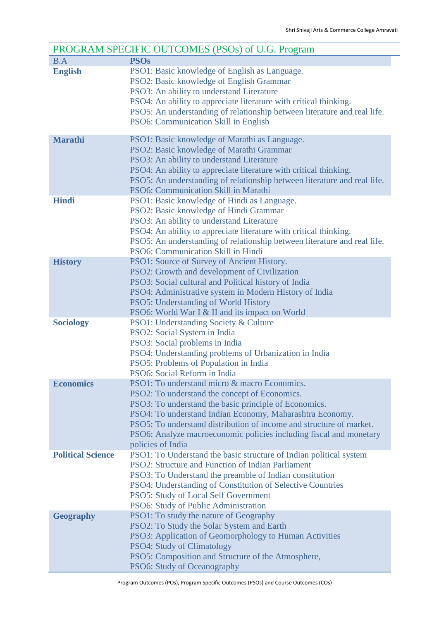| PROGRAM SPECIFIC OUTCOMES (PSOs) of U.G. Program |                                                                                                                                                                                                                                                                                                                                                                                      |  |
|--------------------------------------------------|--------------------------------------------------------------------------------------------------------------------------------------------------------------------------------------------------------------------------------------------------------------------------------------------------------------------------------------------------------------------------------------|--|
| B.A                                              | <b>PSOs</b>                                                                                                                                                                                                                                                                                                                                                                          |  |
| <b>English</b>                                   | PSO1: Basic knowledge of English as Language.<br>PSO2: Basic knowledge of English Grammar<br>PSO3: An ability to understand Literature<br>PSO4: An ability to appreciate literature with critical thinking.<br>PSO5: An understanding of relationship between literature and real life.<br>PSO6: Communication Skill in English                                                      |  |
| <b>Marathi</b>                                   | PSO1: Basic knowledge of Marathi as Language.<br>PSO2: Basic knowledge of Marathi Grammar<br>PSO3: An ability to understand Literature<br>PSO4: An ability to appreciate literature with critical thinking.<br>PSO5: An understanding of relationship between literature and real life.<br>PSO6: Communication Skill in Marathi                                                      |  |
| <b>Hindi</b>                                     | PSO1: Basic knowledge of Hindi as Language.<br>PSO2: Basic knowledge of Hindi Grammar<br>PSO3: An ability to understand Literature<br>PSO4: An ability to appreciate literature with critical thinking.<br>PSO5: An understanding of relationship between literature and real life.<br>PSO6: Communication Skill in Hindi                                                            |  |
| <b>History</b>                                   | PSO1: Source of Survey of Ancient History.<br>PSO2: Growth and development of Civilization<br>PSO3: Social cultural and Political history of India<br>PSO4: Administrative system in Modern History of India<br><b>PSO5: Understanding of World History</b><br>PSO6: World War I & II and its impact on World                                                                        |  |
| <b>Sociology</b>                                 | <b>PSO1: Understanding Society &amp; Culture</b><br>PSO2: Social System in India<br>PSO3: Social problems in India<br>PSO4: Understanding problems of Urbanization in India<br>PSO5: Problems of Population in India<br>PSO6: Social Reform in India                                                                                                                                 |  |
| <b>Economics</b>                                 | PSO1: To understand micro & macro Economics.<br>PSO2: To understand the concept of Economics.<br>PSO3: To understand the basic principle of Economics.<br>PSO4: To understand Indian Economy, Maharashtra Economy.<br>PSO5: To understand distribution of income and structure of market.<br>PSO6: Analyze macroeconomic policies including fiscal and monetary<br>policies of India |  |
| <b>Political Science</b>                         | PSO1: To Understand the basic structure of Indian political system<br>PSO2: Structure and Function of Indian Parliament<br>PSO3: To Understand the preamble of Indian constitution<br>PSO4: Understanding of Constitution of Selective Countries<br><b>PSO5: Study of Local Self Government</b><br>PSO6: Study of Public Administration                                              |  |
| <b>Geography</b>                                 | PSO1: To study the nature of Geography<br>PSO2: To Study the Solar System and Earth<br>PSO3: Application of Geomorphology to Human Activities<br><b>PSO4: Study of Climatology</b><br>PSO5: Composition and Structure of the Atmosphere,<br>PSO6: Study of Oceanography                                                                                                              |  |

Program Outcomes (POs), Program Specific Outcomes (PSOs) and Course Outcomes (COs)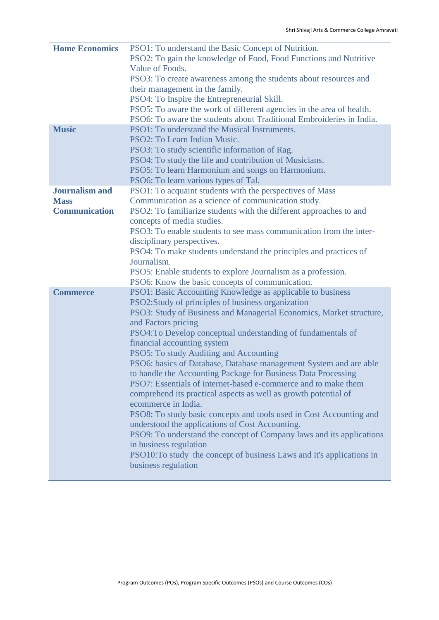| <b>Home Economics</b> | PSO1: To understand the Basic Concept of Nutrition.                   |
|-----------------------|-----------------------------------------------------------------------|
|                       | PSO2: To gain the knowledge of Food, Food Functions and Nutritive     |
|                       | Value of Foods.                                                       |
|                       | PSO3: To create awareness among the students about resources and      |
|                       | their management in the family.                                       |
|                       | PSO4: To Inspire the Entrepreneurial Skill.                           |
|                       | PSO5: To aware the work of different agencies in the area of health.  |
|                       | PSO6: To aware the students about Traditional Embroideries in India.  |
|                       |                                                                       |
| <b>Music</b>          | PSO1: To understand the Musical Instruments.                          |
|                       | PSO2: To Learn Indian Music.                                          |
|                       | PSO3: To study scientific information of Rag.                         |
|                       | PSO4: To study the life and contribution of Musicians.                |
|                       | PSO5: To learn Harmonium and songs on Harmonium.                      |
|                       | PSO6: To learn various types of Tal.                                  |
| <b>Journalism and</b> | PSO1: To acquaint students with the perspectives of Mass              |
| <b>Mass</b>           | Communication as a science of communication study.                    |
| <b>Communication</b>  | PSO2: To familiarize students with the different approaches to and    |
|                       | concepts of media studies.                                            |
|                       | PSO3: To enable students to see mass communication from the inter-    |
|                       | disciplinary perspectives.                                            |
|                       | PSO4: To make students understand the principles and practices of     |
|                       | Journalism.                                                           |
|                       | PSO5: Enable students to explore Journalism as a profession.          |
|                       | PSO6: Know the basic concepts of communication.                       |
| <b>Commerce</b>       | PSO1: Basic Accounting Knowledge as applicable to business            |
|                       | PSO2:Study of principles of business organization                     |
|                       | PSO3: Study of Business and Managerial Economics, Market structure,   |
|                       | and Factors pricing                                                   |
|                       | PSO4: To Develop conceptual understanding of fundamentals of          |
|                       | financial accounting system                                           |
|                       | PSO5: To study Auditing and Accounting                                |
|                       | PSO6: basics of Database, Database management System and are able     |
|                       | to handle the Accounting Package for Business Data Processing         |
|                       | PSO7: Essentials of internet-based e-commerce and to make them        |
|                       | comprehend its practical aspects as well as growth potential of       |
|                       | ecommerce in India.                                                   |
|                       | PSO8: To study basic concepts and tools used in Cost Accounting and   |
|                       | understood the applications of Cost Accounting.                       |
|                       | PSO9: To understand the concept of Company laws and its applications  |
|                       |                                                                       |
|                       | in business regulation                                                |
|                       | PSO10: To study the concept of business Laws and it's applications in |
|                       | business regulation                                                   |
|                       |                                                                       |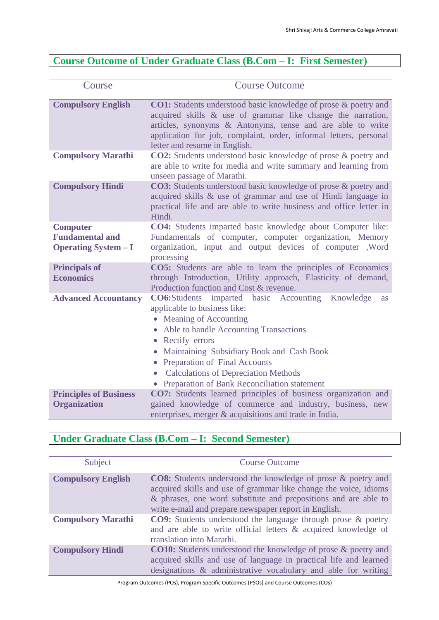### **Course Outcome of Under Graduate Class (B.Com – I: First Semester)**

| Course                                                                   | <b>Course Outcome</b>                                                                                                                                                                                                                                                                                                                                                                              |
|--------------------------------------------------------------------------|----------------------------------------------------------------------------------------------------------------------------------------------------------------------------------------------------------------------------------------------------------------------------------------------------------------------------------------------------------------------------------------------------|
| <b>Compulsory English</b>                                                | CO1: Students understood basic knowledge of prose & poetry and<br>acquired skills & use of grammar like change the narration,<br>articles, synonyms & Antonyms, tense and are able to write<br>application for job, complaint, order, informal letters, personal<br>letter and resume in English.                                                                                                  |
| <b>Compulsory Marathi</b>                                                | <b>CO2:</b> Students understood basic knowledge of prose & poetry and<br>are able to write for media and write summary and learning from<br>unseen passage of Marathi.                                                                                                                                                                                                                             |
| <b>Compulsory Hindi</b>                                                  | <b>CO3:</b> Students understood basic knowledge of prose & poetry and<br>acquired skills & use of grammar and use of Hindi language in<br>practical life and are able to write business and office letter in<br>Hindi.                                                                                                                                                                             |
| <b>Computer</b><br><b>Fundamental and</b><br><b>Operating System – I</b> | <b>CO4:</b> Students imparted basic knowledge about Computer like:<br>Fundamentals of computer, computer organization, Memory<br>organization, input and output devices of computer , Word<br>processing                                                                                                                                                                                           |
| <b>Principals of</b><br><b>Economics</b>                                 | CO5: Students are able to learn the principles of Economics<br>through Introduction, Utility approach, Elasticity of demand,<br>Production function and Cost & revenue.                                                                                                                                                                                                                            |
| <b>Advanced Accountancy</b>                                              | <b>CO6:Students</b> imparted basic Accounting<br>Knowledge<br><b>as</b><br>applicable to business like:<br>• Meaning of Accounting<br>• Able to handle Accounting Transactions<br>• Rectify errors<br>• Maintaining Subsidiary Book and Cash Book<br>• Preparation of Final Accounts<br><b>Calculations of Depreciation Methods</b><br>$\bullet$<br>• Preparation of Bank Reconciliation statement |
| <b>Principles of Business</b><br><b>Organization</b>                     | <b>CO7:</b> Students learned principles of business organization and<br>gained knowledge of commerce and industry, business, new<br>enterprises, merger & acquisitions and trade in India.                                                                                                                                                                                                         |

### **Under Graduate Class (B.Com – I: Second Semester)**

| Subject                   | <b>Course Outcome</b>                                                                                                                                                                                                                                               |
|---------------------------|---------------------------------------------------------------------------------------------------------------------------------------------------------------------------------------------------------------------------------------------------------------------|
| <b>Compulsory English</b> | <b>CO8:</b> Students understood the knowledge of prose & poetry and<br>acquired skills and use of grammar like change the voice, idioms<br>& phrases, one word substitute and prepositions and are able to<br>write e-mail and prepare newspaper report in English. |
| <b>Compulsory Marathi</b> | <b>CO9:</b> Students understood the language through prose & poetry<br>and are able to write official letters & acquired knowledge of<br>translation into Marathi.                                                                                                  |
| <b>Compulsory Hindi</b>   | <b>CO10:</b> Students understood the knowledge of prose & poetry and<br>acquired skills and use of language in practical life and learned<br>designations & administrative vocabulary and able for writing                                                          |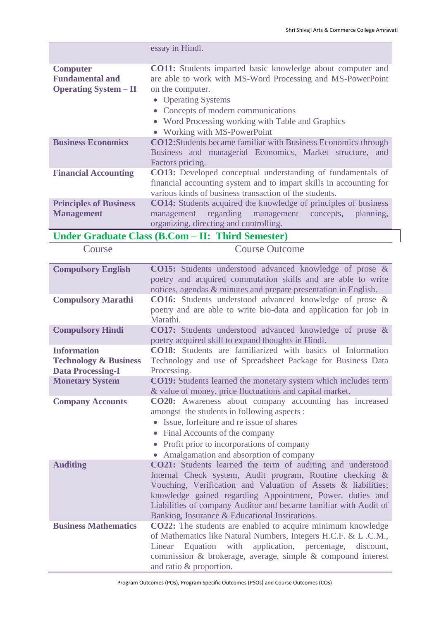|                                                                                    | essay in Hindi.                                                                                                                                                                                                                                                                                                                                                                   |
|------------------------------------------------------------------------------------|-----------------------------------------------------------------------------------------------------------------------------------------------------------------------------------------------------------------------------------------------------------------------------------------------------------------------------------------------------------------------------------|
| <b>Computer</b><br><b>Fundamental and</b><br><b>Operating System - II</b>          | <b>CO11:</b> Students imparted basic knowledge about computer and<br>are able to work with MS-Word Processing and MS-PowerPoint<br>on the computer.<br><b>Operating Systems</b><br>$\bullet$<br>Concepts of modern communications<br>• Word Processing working with Table and Graphics<br>• Working with MS-PowerPoint                                                            |
| <b>Business Economics</b>                                                          | <b>CO12:</b> Students became familiar with Business Economics through<br>Business and managerial Economics, Market structure, and<br>Factors pricing.                                                                                                                                                                                                                             |
| <b>Financial Accounting</b>                                                        | <b>CO13:</b> Developed conceptual understanding of fundamentals of<br>financial accounting system and to impart skills in accounting for<br>various kinds of business transaction of the students.                                                                                                                                                                                |
| <b>Principles of Business</b><br><b>Management</b>                                 | <b>CO14:</b> Students acquired the knowledge of principles of business<br>regarding<br>management<br>planning,<br>management<br>concepts,<br>organizing, directing and controlling.                                                                                                                                                                                               |
|                                                                                    | Under Graduate Class (B.Com - II: Third Semester)                                                                                                                                                                                                                                                                                                                                 |
| Course                                                                             | <b>Course Outcome</b>                                                                                                                                                                                                                                                                                                                                                             |
| <b>Compulsory English</b>                                                          | <b>CO15:</b> Students understood advanced knowledge of prose &<br>poetry and acquired commutation skills and are able to write<br>notices, agendas & minutes and prepare presentation in English.                                                                                                                                                                                 |
| <b>Compulsory Marathi</b>                                                          | CO16: Students understood advanced knowledge of prose &<br>poetry and are able to write bio-data and application for job in<br>Marathi.                                                                                                                                                                                                                                           |
| <b>Compulsory Hindi</b>                                                            | <b>CO17:</b> Students understood advanced knowledge of prose &<br>poetry acquired skill to expand thoughts in Hindi.                                                                                                                                                                                                                                                              |
| <b>Information</b><br><b>Technology &amp; Business</b><br><b>Data Processing-I</b> | <b>CO18:</b> Students are familiarized with basics of Information<br>Technology and use of Spreadsheet Package for Business Data<br>Processing.                                                                                                                                                                                                                                   |
| <b>Monetary System</b>                                                             | <b>CO19:</b> Students learned the monetary system which includes term<br>& value of money, price fluctuations and capital market.                                                                                                                                                                                                                                                 |
| <b>Company Accounts</b>                                                            | CO20: Awareness about company accounting has increased<br>amongst the students in following aspects :<br>• Issue, forfeiture and re issue of shares<br>Final Accounts of the company<br>Profit prior to incorporations of company<br>$\bullet$<br>• Amalgamation and absorption of company                                                                                        |
| <b>Auditing</b>                                                                    | <b>CO21:</b> Students learned the term of auditing and understood<br>Internal Check system, Audit program, Routine checking &<br>Vouching, Verification and Valuation of Assets & liabilities;<br>knowledge gained regarding Appointment, Power, duties and<br>Liabilities of company Auditor and became familiar with Audit of<br>Banking, Insurance & Educational Institutions. |
| <b>Business Mathematics</b>                                                        | <b>CO22:</b> The students are enabled to acquire minimum knowledge<br>of Mathematics like Natural Numbers, Integers H.C.F. & L.C.M.,<br>Equation with<br>application, percentage, discount,<br>Linear<br>commission & brokerage, average, simple & compound interest<br>and ratio & proportion.                                                                                   |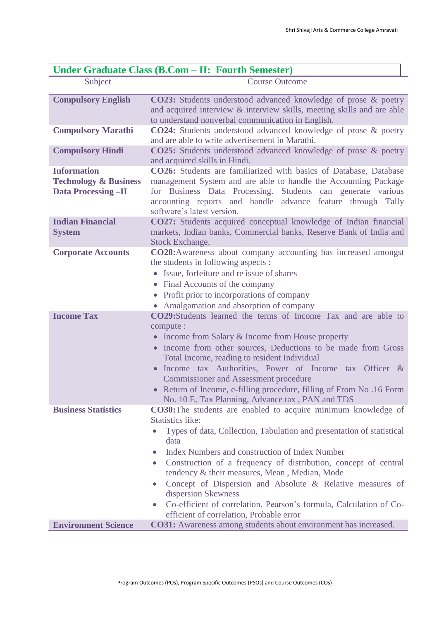| Under Graduate Class (B.Com - II: Fourth Semester)                                  |                                                                                                                                                                                                                                                                                                                                                                                                                                                                                                                                                                                                                                |
|-------------------------------------------------------------------------------------|--------------------------------------------------------------------------------------------------------------------------------------------------------------------------------------------------------------------------------------------------------------------------------------------------------------------------------------------------------------------------------------------------------------------------------------------------------------------------------------------------------------------------------------------------------------------------------------------------------------------------------|
| Subject                                                                             | <b>Course Outcome</b>                                                                                                                                                                                                                                                                                                                                                                                                                                                                                                                                                                                                          |
| <b>Compulsory English</b>                                                           | CO23: Students understood advanced knowledge of prose & poetry<br>and acquired interview & interview skills, meeting skills and are able<br>to understand nonverbal communication in English.                                                                                                                                                                                                                                                                                                                                                                                                                                  |
| <b>Compulsory Marathi</b>                                                           | <b>CO24:</b> Students understood advanced knowledge of prose & poetry<br>and are able to write advertisement in Marathi.                                                                                                                                                                                                                                                                                                                                                                                                                                                                                                       |
| <b>Compulsory Hindi</b>                                                             | <b>CO25:</b> Students understood advanced knowledge of prose & poetry<br>and acquired skills in Hindi.                                                                                                                                                                                                                                                                                                                                                                                                                                                                                                                         |
| <b>Information</b><br><b>Technology &amp; Business</b><br><b>Data Processing-II</b> | CO26: Students are familiarized with basics of Database, Database<br>management System and are able to handle the Accounting Package<br>for Business Data Processing. Students can generate various<br>accounting reports and handle advance feature through Tally<br>software's latest version.                                                                                                                                                                                                                                                                                                                               |
| <b>Indian Financial</b><br><b>System</b>                                            | CO27: Students acquired conceptual knowledge of Indian financial<br>markets, Indian banks, Commercial banks, Reserve Bank of India and<br><b>Stock Exchange.</b>                                                                                                                                                                                                                                                                                                                                                                                                                                                               |
| <b>Corporate Accounts</b>                                                           | <b>CO28:</b> Awareness about company accounting has increased amongst<br>the students in following aspects :<br>• Issue, forfeiture and re issue of shares<br>• Final Accounts of the company<br>• Profit prior to incorporations of company<br>• Amalgamation and absorption of company                                                                                                                                                                                                                                                                                                                                       |
| <b>Income Tax</b>                                                                   | CO29:Students learned the terms of Income Tax and are able to<br>compute :<br>• Income from Salary & Income from House property<br>• Income from other sources, Deductions to be made from Gross<br>Total Income, reading to resident Individual<br>Income tax Authorities, Power of Income tax Officer &<br><b>Commissioner and Assessment procedure</b><br>• Return of Income, e-filling procedure, filling of From No.16 Form<br>No. 10 E, Tax Planning, Advance tax, PAN and TDS                                                                                                                                           |
| <b>Business Statistics</b>                                                          | <b>CO30:</b> The students are enabled to acquire minimum knowledge of<br><b>Statistics like:</b><br>Types of data, Collection, Tabulation and presentation of statistical<br>$\bullet$<br>data<br>Index Numbers and construction of Index Number<br>$\bullet$<br>Construction of a frequency of distribution, concept of central<br>$\bullet$<br>tendency & their measures, Mean, Median, Mode<br>Concept of Dispersion and Absolute & Relative measures of<br>$\bullet$<br>dispersion Skewness<br>Co-efficient of correlation, Pearson's formula, Calculation of Co-<br>$\bullet$<br>efficient of correlation, Probable error |
| <b>Environment Science</b>                                                          | <b>CO31:</b> Awareness among students about environment has increased.                                                                                                                                                                                                                                                                                                                                                                                                                                                                                                                                                         |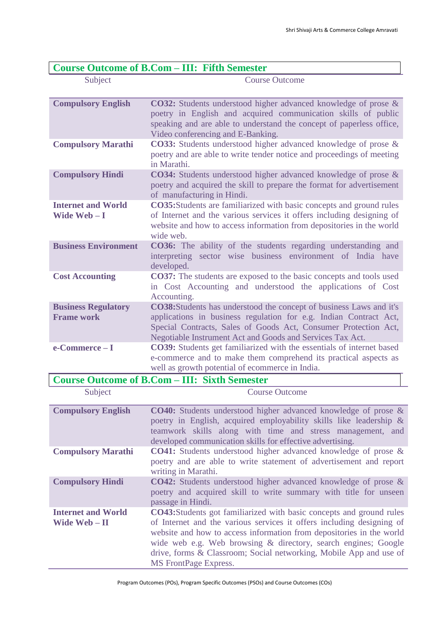| <b>Course Outcome of B.Com - III: Fifth Semester</b> |                                                                                                                                                                                                                                                                                 |
|------------------------------------------------------|---------------------------------------------------------------------------------------------------------------------------------------------------------------------------------------------------------------------------------------------------------------------------------|
| Subject                                              | <b>Course Outcome</b>                                                                                                                                                                                                                                                           |
| <b>Compulsory English</b>                            | <b>CO32:</b> Students understood higher advanced knowledge of prose &<br>poetry in English and acquired communication skills of public<br>speaking and are able to understand the concept of paperless office,<br>Video conferencing and E-Banking.                             |
| <b>Compulsory Marathi</b>                            | CO33: Students understood higher advanced knowledge of prose &<br>poetry and are able to write tender notice and proceedings of meeting<br>in Marathi.                                                                                                                          |
| <b>Compulsory Hindi</b>                              | CO34: Students understood higher advanced knowledge of prose &<br>poetry and acquired the skill to prepare the format for advertisement<br>of manufacturing in Hindi.                                                                                                           |
| <b>Internet and World</b><br>Wide Web-I              | CO35: Students are familiarized with basic concepts and ground rules<br>of Internet and the various services it offers including designing of<br>website and how to access information from depositories in the world<br>wide web.                                              |
| <b>Business Environment</b>                          | CO36: The ability of the students regarding understanding and<br>interpreting sector wise business environment of India have<br>developed.                                                                                                                                      |
| <b>Cost Accounting</b>                               | <b>CO37:</b> The students are exposed to the basic concepts and tools used<br>in Cost Accounting and understood the applications of Cost<br>Accounting.                                                                                                                         |
| <b>Business Regulatory</b><br><b>Frame work</b>      | <b>CO38:</b> Students has understood the concept of business Laws and it's<br>applications in business regulation for e.g. Indian Contract Act,<br>Special Contracts, Sales of Goods Act, Consumer Protection Act,<br>Negotiable Instrument Act and Goods and Services Tax Act. |
| e-Commerce-I                                         | <b>CO39:</b> Students get familiarized with the essentials of internet based<br>e-commerce and to make them comprehend its practical aspects as<br>well as growth potential of ecommerce in India.                                                                              |
| <b>Course Outcome of B.Com – III: Sixth Semester</b> |                                                                                                                                                                                                                                                                                 |

| Subject                                    | <b>Course Outcome</b>                                                                                                                                                                                                                                                                                                                                                                         |
|--------------------------------------------|-----------------------------------------------------------------------------------------------------------------------------------------------------------------------------------------------------------------------------------------------------------------------------------------------------------------------------------------------------------------------------------------------|
| <b>Compulsory English</b>                  | <b>CO40:</b> Students understood higher advanced knowledge of prose &<br>poetry in English, acquired employability skills like leadership &<br>teamwork skills along with time and stress management, and<br>developed communication skills for effective advertising.                                                                                                                        |
| <b>Compulsory Marathi</b>                  | CO41: Students understood higher advanced knowledge of prose &<br>poetry and are able to write statement of advertisement and report<br>writing in Marathi.                                                                                                                                                                                                                                   |
| <b>Compulsory Hindi</b>                    | <b>CO42:</b> Students understood higher advanced knowledge of prose &<br>poetry and acquired skill to write summary with title for unseen<br>passage in Hindi.                                                                                                                                                                                                                                |
| <b>Internet and World</b><br>Wide Web – II | <b>CO43:</b> Students got familiarized with basic concepts and ground rules<br>of Internet and the various services it offers including designing of<br>website and how to access information from depositories in the world<br>wide web e.g. Web browsing & directory, search engines; Google<br>drive, forms & Classroom; Social networking, Mobile App and use of<br>MS FrontPage Express. |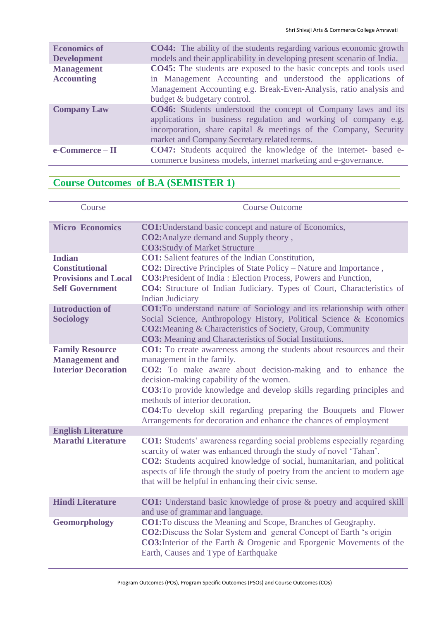| <b>Economics of</b> | <b>CO44:</b> The ability of the students regarding various economic growth                                                                                                                                                                                 |
|---------------------|------------------------------------------------------------------------------------------------------------------------------------------------------------------------------------------------------------------------------------------------------------|
| <b>Development</b>  | models and their applicability in developing present scenario of India.                                                                                                                                                                                    |
| <b>Management</b>   | <b>CO45:</b> The students are exposed to the basic concepts and tools used                                                                                                                                                                                 |
| <b>Accounting</b>   | in Management Accounting and understood the applications of                                                                                                                                                                                                |
|                     | Management Accounting e.g. Break-Even-Analysis, ratio analysis and                                                                                                                                                                                         |
|                     | budget & budgetary control.                                                                                                                                                                                                                                |
| <b>Company Law</b>  | <b>CO46:</b> Students understood the concept of Company laws and its<br>applications in business regulation and working of company e.g.<br>incorporation, share capital & meetings of the Company, Security<br>market and Company Secretary related terms. |
| e-Commerce – II     | <b>CO47:</b> Students acquired the knowledge of the internet- based e-<br>commerce business models, internet marketing and e-governance.                                                                                                                   |

## **Course Outcomes of B.A (SEMISTER 1)**

| Course                                                                                          | <b>Course Outcome</b>                                                                                                                                                                                                                                                                                                                                                                                                                                                             |
|-------------------------------------------------------------------------------------------------|-----------------------------------------------------------------------------------------------------------------------------------------------------------------------------------------------------------------------------------------------------------------------------------------------------------------------------------------------------------------------------------------------------------------------------------------------------------------------------------|
| <b>Micro Economics</b>                                                                          | <b>CO1:</b> Understand basic concept and nature of Economics,<br>CO2: Analyze demand and Supply theory,<br><b>CO3:Study of Market Structure</b>                                                                                                                                                                                                                                                                                                                                   |
| <b>Indian</b><br><b>Constitutional</b><br><b>Provisions and Local</b><br><b>Self Government</b> | <b>CO1:</b> Salient features of the Indian Constitution,<br>CO2: Directive Principles of State Policy - Nature and Importance,<br><b>CO3:</b> President of India: Election Process, Powers and Function,<br>CO4: Structure of Indian Judiciary. Types of Court, Characteristics of<br><b>Indian Judiciary</b>                                                                                                                                                                     |
| <b>Introduction of</b><br><b>Sociology</b>                                                      | <b>CO1:</b> To understand nature of Sociology and its relationship with other<br>Social Science, Anthropology History, Political Science & Economics<br><b>CO2:</b> Meaning & Characteristics of Society, Group, Community<br><b>CO3:</b> Meaning and Characteristics of Social Institutions.                                                                                                                                                                                     |
| <b>Family Resource</b><br><b>Management</b> and<br><b>Interior Decoration</b>                   | CO1: To create awareness among the students about resources and their<br>management in the family.<br>CO2: To make aware about decision-making and to enhance the<br>decision-making capability of the women.<br><b>CO3:</b> To provide knowledge and develop skills regarding principles and<br>methods of interior decoration.<br><b>CO4:</b> To develop skill regarding preparing the Bouquets and Flower<br>Arrangements for decoration and enhance the chances of employment |
| <b>English Literature</b><br><b>Marathi Literature</b>                                          | <b>CO1:</b> Students' awareness regarding social problems especially regarding<br>scarcity of water was enhanced through the study of novel 'Tahan'.<br>CO2: Students acquired knowledge of social, humanitarian, and political<br>aspects of life through the study of poetry from the ancient to modern age<br>that will be helpful in enhancing their civic sense.                                                                                                             |
| <b>Hindi Literature</b>                                                                         | <b>CO1:</b> Understand basic knowledge of prose & poetry and acquired skill<br>and use of grammar and language.                                                                                                                                                                                                                                                                                                                                                                   |
| Geomorphology                                                                                   | <b>CO1:</b> To discuss the Meaning and Scope, Branches of Geography.<br><b>CO2:</b> Discuss the Solar System and general Concept of Earth 's origin<br><b>CO3:</b> Interior of the Earth & Orogenic and Eporgenic Movements of the<br>Earth, Causes and Type of Earthquake                                                                                                                                                                                                        |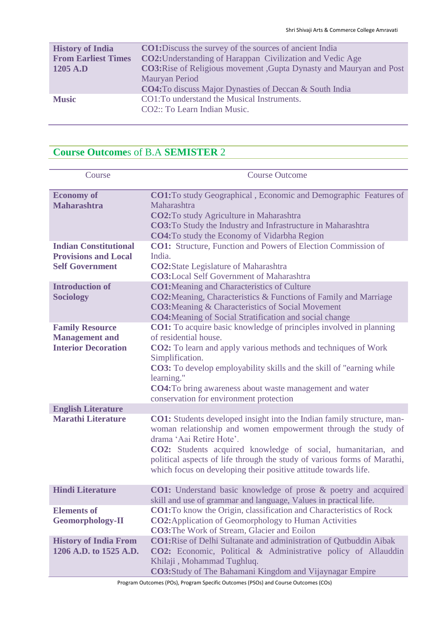| <b>History of India</b>    | <b>CO1:</b> Discuss the survey of the sources of ancient India             |
|----------------------------|----------------------------------------------------------------------------|
| <b>From Earliest Times</b> | <b>CO2:</b> Understanding of Harappan Civilization and Vedic Age           |
| 1205 A.D                   | <b>CO3:</b> Rise of Religious movement, Gupta Dynasty and Mauryan and Post |
|                            | Mauryan Period                                                             |
|                            | <b>CO4:</b> To discuss Major Dynasties of Deccan & South India             |
| <b>Music</b>               | CO1: To understand the Musical Instruments.                                |
|                            | CO2:: To Learn Indian Music.                                               |
|                            |                                                                            |

# **Course Outcome**s of B.A **SEMISTER** 2

| Course                                                                                | <b>Course Outcome</b>                                                                                                                                                                                                                                                                                                                                                                                      |
|---------------------------------------------------------------------------------------|------------------------------------------------------------------------------------------------------------------------------------------------------------------------------------------------------------------------------------------------------------------------------------------------------------------------------------------------------------------------------------------------------------|
| <b>Economy of</b><br><b>Maharashtra</b>                                               | <b>CO1:</b> To study Geographical, Economic and Demographic Features of<br>Maharashtra<br>CO2: To study Agriculture in Maharashtra<br><b>CO3:</b> To Study the Industry and Infrastructure in Maharashtra<br><b>CO4:</b> To study the Economy of Vidarbha Region                                                                                                                                           |
| <b>Indian Constitutional</b><br><b>Provisions and Local</b><br><b>Self Government</b> | <b>CO1:</b> Structure, Function and Powers of Election Commission of<br>India.<br><b>CO2:</b> State Legislature of Maharashtra<br><b>CO3:</b> Local Self Government of Maharashtra                                                                                                                                                                                                                         |
| <b>Introduction of</b><br><b>Sociology</b>                                            | <b>CO1:</b> Meaning and Characteristics of Culture<br><b>CO2:</b> Meaning, Characteristics & Functions of Family and Marriage<br><b>CO3:</b> Meaning & Characteristics of Social Movement<br><b>CO4:</b> Meaning of Social Stratification and social change                                                                                                                                                |
| <b>Family Resource</b><br><b>Management</b> and<br><b>Interior Decoration</b>         | <b>CO1:</b> To acquire basic knowledge of principles involved in planning<br>of residential house.<br><b>CO2:</b> To learn and apply various methods and techniques of Work<br>Simplification.<br><b>CO3:</b> To develop employability skills and the skill of "earning while"<br>learning."<br><b>CO4:</b> To bring awareness about waste management and water<br>conservation for environment protection |
| <b>English Literature</b>                                                             |                                                                                                                                                                                                                                                                                                                                                                                                            |
| <b>Marathi Literature</b>                                                             | <b>CO1:</b> Students developed insight into the Indian family structure, man-<br>woman relationship and women empowerment through the study of<br>drama 'Aai Retire Hote'.<br>CO2: Students acquired knowledge of social, humanitarian, and<br>political aspects of life through the study of various forms of Marathi,<br>which focus on developing their positive attitude towards life.                 |
| <b>Hindi Literature</b>                                                               | <b>CO1:</b> Understand basic knowledge of prose & poetry and acquired<br>skill and use of grammar and language, Values in practical life.                                                                                                                                                                                                                                                                  |
| <b>Elements of</b><br><b>Geomorphology-II</b>                                         | <b>CO1:</b> To know the Origin, classification and Characteristics of Rock<br><b>CO2:</b> Application of Geomorphology to Human Activities<br><b>CO3:</b> The Work of Stream, Glacier and Eoilon                                                                                                                                                                                                           |
| <b>History of India From</b><br>1206 A.D. to 1525 A.D.                                | <b>CO1:</b> Rise of Delhi Sultanate and administration of Qutbuddin Aibak<br>CO2: Economic, Political & Administrative policy of Allauddin<br>Khilaji, Mohammad Tughluq.<br><b>CO3:</b> Study of The Bahamani Kingdom and Vijaynagar Empire                                                                                                                                                                |

Program Outcomes (POs), Program Specific Outcomes (PSOs) and Course Outcomes (COs)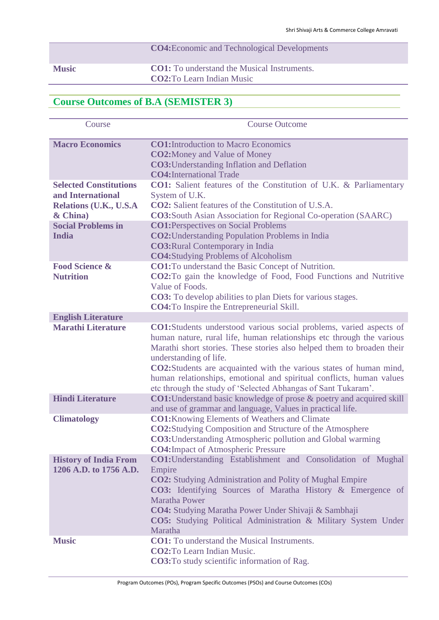## **CO4:**Economic and Technological Developments **Music CO1:** To understand the Musical Instruments. **CO2:**To Learn Indian Music

### **Course Outcomes of B.A (SEMISTER 3)**

| Course                                                 | <b>Course Outcome</b>                                                                                                                                                                                                                                                                                                                                                                                                                                                          |
|--------------------------------------------------------|--------------------------------------------------------------------------------------------------------------------------------------------------------------------------------------------------------------------------------------------------------------------------------------------------------------------------------------------------------------------------------------------------------------------------------------------------------------------------------|
| <b>Macro Economics</b>                                 | <b>CO1:</b> Introduction to Macro Economics<br><b>CO2:</b> Money and Value of Money                                                                                                                                                                                                                                                                                                                                                                                            |
|                                                        | <b>CO3:</b> Understanding Inflation and Deflation                                                                                                                                                                                                                                                                                                                                                                                                                              |
|                                                        | <b>CO4:</b> International Trade                                                                                                                                                                                                                                                                                                                                                                                                                                                |
| <b>Selected Constitutions</b>                          | <b>CO1:</b> Salient features of the Constitution of U.K. & Parliamentary                                                                                                                                                                                                                                                                                                                                                                                                       |
| and International                                      | System of U.K.                                                                                                                                                                                                                                                                                                                                                                                                                                                                 |
| Relations (U.K., U.S.A                                 | <b>CO2:</b> Salient features of the Constitution of U.S.A.                                                                                                                                                                                                                                                                                                                                                                                                                     |
| & China)<br><b>Social Problems in</b>                  | <b>CO3:</b> South Asian Association for Regional Co-operation (SAARC)                                                                                                                                                                                                                                                                                                                                                                                                          |
| <b>India</b>                                           | <b>CO1:</b> Perspectives on Social Problems<br><b>CO2:</b> Understanding Population Problems in India                                                                                                                                                                                                                                                                                                                                                                          |
|                                                        | <b>CO3: Rural Contemporary in India</b>                                                                                                                                                                                                                                                                                                                                                                                                                                        |
|                                                        | <b>CO4:</b> Studying Problems of Alcoholism                                                                                                                                                                                                                                                                                                                                                                                                                                    |
| <b>Food Science &amp;</b>                              | <b>CO1:</b> To understand the Basic Concept of Nutrition.                                                                                                                                                                                                                                                                                                                                                                                                                      |
| <b>Nutrition</b>                                       | <b>CO2:</b> To gain the knowledge of Food, Food Functions and Nutritive                                                                                                                                                                                                                                                                                                                                                                                                        |
|                                                        | Value of Foods.                                                                                                                                                                                                                                                                                                                                                                                                                                                                |
|                                                        | <b>CO3:</b> To develop abilities to plan Diets for various stages.                                                                                                                                                                                                                                                                                                                                                                                                             |
|                                                        | <b>CO4:</b> To Inspire the Entrepreneurial Skill.                                                                                                                                                                                                                                                                                                                                                                                                                              |
| <b>English Literature</b><br><b>Marathi Literature</b> |                                                                                                                                                                                                                                                                                                                                                                                                                                                                                |
|                                                        | <b>CO1:</b> Students understood various social problems, varied aspects of<br>human nature, rural life, human relationships etc through the various<br>Marathi short stories. These stories also helped them to broaden their<br>understanding of life.<br><b>CO2:</b> Students are acquainted with the various states of human mind,<br>human relationships, emotional and spiritual conflicts, human values<br>etc through the study of 'Selected Abhangas of Sant Tukaram'. |
| <b>Hindi Literature</b>                                | <b>CO1:</b> Understand basic knowledge of prose & poetry and acquired skill<br>and use of grammar and language, Values in practical life.                                                                                                                                                                                                                                                                                                                                      |
| <b>Climatology</b>                                     | <b>CO1:</b> Knowing Elements of Weathers and Climate<br><b>CO2:</b> Studying Composition and Structure of the Atmosphere<br><b>CO3:</b> Understanding Atmospheric pollution and Global warming<br><b>CO4: Impact of Atmospheric Pressure</b>                                                                                                                                                                                                                                   |
| <b>History of India From</b>                           | <b>CO1:</b> Understanding Establishment and Consolidation of Mughal                                                                                                                                                                                                                                                                                                                                                                                                            |
| 1206 A.D. to 1756 A.D.                                 | Empire<br><b>CO2:</b> Studying Administration and Polity of Mughal Empire<br><b>CO3:</b> Identifying Sources of Maratha History & Emergence of<br><b>Maratha Power</b><br>CO4: Studying Maratha Power Under Shivaji & Sambhaji<br><b>CO5:</b> Studying Political Administration & Military System Under<br>Maratha                                                                                                                                                             |
| <b>Music</b>                                           | <b>CO1:</b> To understand the Musical Instruments.                                                                                                                                                                                                                                                                                                                                                                                                                             |
|                                                        | <b>CO2:</b> To Learn Indian Music.<br>CO3: To study scientific information of Rag.                                                                                                                                                                                                                                                                                                                                                                                             |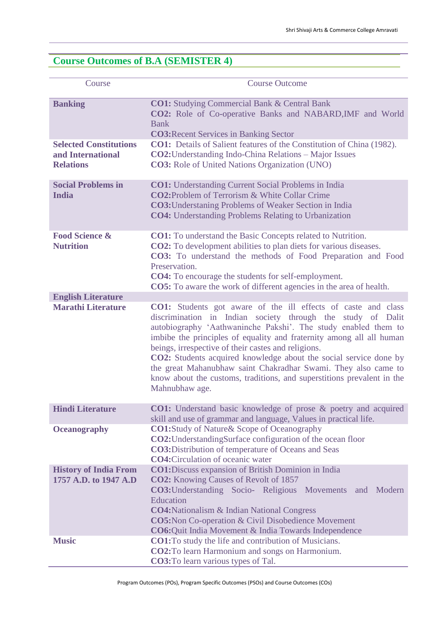## **Course Outcomes of B.A (SEMISTER 4)**

| Course                                                                 | <b>Course Outcome</b>                                                                                                                                                                                                                                                                                                                                                                                                                                                                                                                                                   |
|------------------------------------------------------------------------|-------------------------------------------------------------------------------------------------------------------------------------------------------------------------------------------------------------------------------------------------------------------------------------------------------------------------------------------------------------------------------------------------------------------------------------------------------------------------------------------------------------------------------------------------------------------------|
| <b>Banking</b>                                                         | <b>CO1:</b> Studying Commercial Bank & Central Bank<br><b>CO2:</b> Role of Co-operative Banks and NABARD, IMF and World<br><b>Bank</b><br><b>CO3: Recent Services in Banking Sector</b>                                                                                                                                                                                                                                                                                                                                                                                 |
| <b>Selected Constitutions</b><br>and International<br><b>Relations</b> | <b>CO1:</b> Details of Salient features of the Constitution of China (1982).<br>CO2: Understanding Indo-China Relations - Major Issues<br><b>CO3:</b> Role of United Nations Organization (UNO)                                                                                                                                                                                                                                                                                                                                                                         |
| <b>Social Problems in</b><br><b>India</b>                              | <b>CO1:</b> Understanding Current Social Problems in India<br><b>CO2:</b> Problem of Terrorism & White Collar Crime<br><b>CO3:</b> Understaning Problems of Weaker Section in India<br><b>CO4:</b> Understanding Problems Relating to Urbanization                                                                                                                                                                                                                                                                                                                      |
| <b>Food Science &amp;</b><br><b>Nutrition</b>                          | <b>CO1:</b> To understand the Basic Concepts related to Nutrition.<br><b>CO2:</b> To development abilities to plan diets for various diseases.<br>CO3: To understand the methods of Food Preparation and Food<br>Preservation.<br><b>CO4:</b> To encourage the students for self-employment.<br><b>CO5:</b> To aware the work of different agencies in the area of health.                                                                                                                                                                                              |
| <b>English Literature</b><br><b>Marathi Literature</b>                 | CO1: Students got aware of the ill effects of caste and class<br>discrimination in Indian society through the study of Dalit<br>autobiography 'Aathwaninche Pakshi'. The study enabled them to<br>imbibe the principles of equality and fraternity among all all human<br>beings, irrespective of their castes and religions.<br><b>CO2:</b> Students acquired knowledge about the social service done by<br>the great Mahanubhaw saint Chakradhar Swami. They also came to<br>know about the customs, traditions, and superstitions prevalent in the<br>Mahnubhaw age. |
| <b>Hindi Literature</b>                                                | CO1: Understand basic knowledge of prose & poetry and acquired<br>skill and use of grammar and language, Values in practical life.                                                                                                                                                                                                                                                                                                                                                                                                                                      |
| <b>Oceanography</b>                                                    | <b>CO1:</b> Study of Nature & Scope of Oceanography<br><b>CO2:</b> Understanding Surface configuration of the ocean floor<br><b>CO3:</b> Distribution of temperature of Oceans and Seas<br><b>CO4:</b> Circulation of oceanic water                                                                                                                                                                                                                                                                                                                                     |
| <b>History of India From</b><br>1757 A.D. to 1947 A.D                  | <b>CO1:</b> Discuss expansion of British Dominion in India<br><b>CO2:</b> Knowing Causes of Revolt of 1857<br><b>CO3:</b> Understanding Socio- Religious Movements<br>Modern<br>and<br>Education<br><b>CO4:</b> Nationalism & Indian National Congress<br><b>CO5:</b> Non Co-operation & Civil Disobedience Movement<br>CO6: Quit India Movement & India Towards Independence                                                                                                                                                                                           |
| <b>Music</b>                                                           | <b>CO1:</b> To study the life and contribution of Musicians.<br><b>CO2:</b> To learn Harmonium and songs on Harmonium.<br><b>CO3:</b> To learn various types of Tal.                                                                                                                                                                                                                                                                                                                                                                                                    |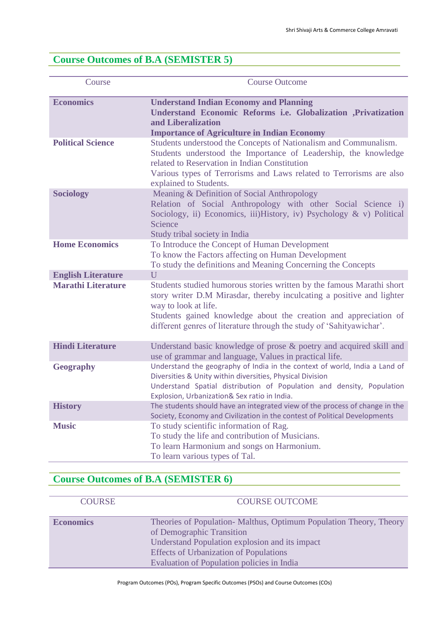### **Course Outcomes of B.A (SEMISTER 5)**

| Course                    | <b>Course Outcome</b>                                                                                                                                                                                                                                                                                              |
|---------------------------|--------------------------------------------------------------------------------------------------------------------------------------------------------------------------------------------------------------------------------------------------------------------------------------------------------------------|
| <b>Economics</b>          | <b>Understand Indian Economy and Planning</b><br>Understand Economic Reforms i.e. Globalization ,Privatization<br>and Liberalization<br><b>Importance of Agriculture in Indian Economy</b>                                                                                                                         |
| <b>Political Science</b>  | Students understood the Concepts of Nationalism and Communalism.<br>Students understood the Importance of Leadership, the knowledge<br>related to Reservation in Indian Constitution<br>Various types of Terrorisms and Laws related to Terrorisms are also<br>explained to Students.                              |
| <b>Sociology</b>          | Meaning & Definition of Social Anthropology<br>Relation of Social Anthropology with other Social Science i)<br>Sociology, ii) Economics, iii)History, iv) Psychology & v) Political<br>Science<br>Study tribal society in India                                                                                    |
| <b>Home Economics</b>     | To Introduce the Concept of Human Development<br>To know the Factors affecting on Human Development<br>To study the definitions and Meaning Concerning the Concepts                                                                                                                                                |
| <b>English Literature</b> | U                                                                                                                                                                                                                                                                                                                  |
| <b>Marathi Literature</b> | Students studied humorous stories written by the famous Marathi short<br>story writer D.M Mirasdar, thereby inculcating a positive and lighter<br>way to look at life.<br>Students gained knowledge about the creation and appreciation of<br>different genres of literature through the study of 'Sahityawichar'. |
| <b>Hindi Literature</b>   | Understand basic knowledge of prose & poetry and acquired skill and<br>use of grammar and language, Values in practical life.                                                                                                                                                                                      |
| <b>Geography</b>          | Understand the geography of India in the context of world, India a Land of<br>Diversities & Unity within diversities, Physical Division<br>Understand Spatial distribution of Population and density, Population<br>Explosion, Urbanization& Sex ratio in India.                                                   |
| <b>History</b>            | The students should have an integrated view of the process of change in the<br>Society, Economy and Civilization in the contest of Political Developments                                                                                                                                                          |
| <b>Music</b>              | To study scientific information of Rag.<br>To study the life and contribution of Musicians.<br>To learn Harmonium and songs on Harmonium.<br>To learn various types of Tal.                                                                                                                                        |

## **Course Outcomes of B.A (SEMISTER 6)**

| <b>COURSE</b>    | <b>COURSE OUTCOME</b>                                                                                                                                                                                                                           |
|------------------|-------------------------------------------------------------------------------------------------------------------------------------------------------------------------------------------------------------------------------------------------|
| <b>Economics</b> | Theories of Population-Malthus, Optimum Population Theory, Theory<br>of Demographic Transition<br>Understand Population explosion and its impact<br><b>Effects of Urbanization of Populations</b><br>Evaluation of Population policies in India |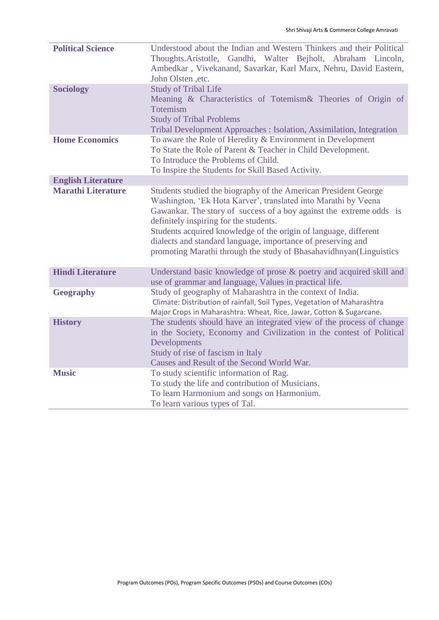| <b>Political Science</b><br><b>Sociology</b> | Understood about the Indian and Western Thinkers and their Political<br>Thoughts. Aristotle, Gandhi, Walter Bejholt, Abraham Lincoln,<br>Ambedkar, Vivekanand, Savarkar, Karl Marx, Nehru, David Eastern,<br>John Olsten , etc.<br><b>Study of Tribal Life</b><br>Meaning & Characteristics of Totemism& Theories of Origin of<br>Totemism<br><b>Study of Tribal Problems</b>                                                                                |
|----------------------------------------------|--------------------------------------------------------------------------------------------------------------------------------------------------------------------------------------------------------------------------------------------------------------------------------------------------------------------------------------------------------------------------------------------------------------------------------------------------------------|
| <b>Home Economics</b>                        | Tribal Development Approaches : Isolation, Assimilation, Integration<br>To aware the Role of Heredity & Environment in Development<br>To State the Role of Parent & Teacher in Child Development.<br>To Introduce the Problems of Child.<br>To Inspire the Students for Skill Based Activity.                                                                                                                                                                |
| <b>English Literature</b>                    |                                                                                                                                                                                                                                                                                                                                                                                                                                                              |
| <b>Marathi Literature</b>                    | Students studied the biography of the American President George<br>Washington, 'Ek Hota Karver', translated into Marathi by Veena<br>Gawankar. The story of success of a boy against the extreme odds is<br>definitely inspiring for the students.<br>Students acquired knowledge of the origin of language, different<br>dialects and standard language, importance of preserving and<br>promoting Marathi through the study of Bhasahavidhnyan(Linguistics |
| <b>Hindi Literature</b>                      | Understand basic knowledge of prose & poetry and acquired skill and<br>use of grammar and language, Values in practical life.                                                                                                                                                                                                                                                                                                                                |
| <b>Geography</b>                             | Study of geography of Maharashtra in the context of India.<br>Climate: Distribution of rainfall, Soil Types, Vegetation of Maharashtra<br>Major Crops in Maharashtra: Wheat, Rice, Jawar, Cotton & Sugarcane.                                                                                                                                                                                                                                                |
| <b>History</b>                               | The students should have an integrated view of the process of change<br>in the Society, Economy and Civilization in the contest of Political<br>Developments<br>Study of rise of fascism in Italy<br>Causes and Result of the Second World War.                                                                                                                                                                                                              |
| <b>Music</b>                                 | To study scientific information of Rag.<br>To study the life and contribution of Musicians.<br>To learn Harmonium and songs on Harmonium.<br>To learn various types of Tal.                                                                                                                                                                                                                                                                                  |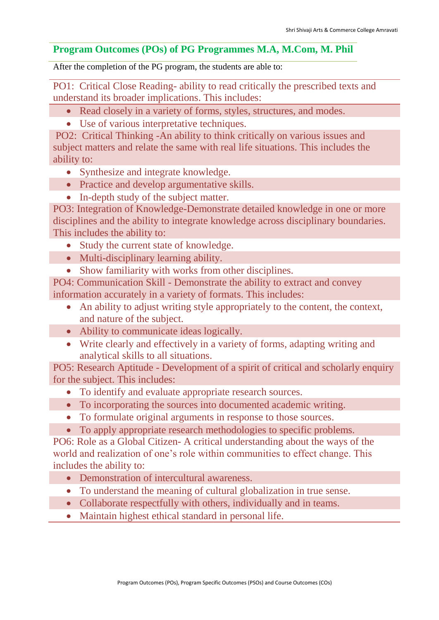### **Program Outcomes (POs) of PG Programmes M.A, M.Com, M. Phil**

After the completion of the PG program, the students are able to:

PO1: Critical Close Reading- ability to read critically the prescribed texts and understand its broader implications. This includes:

- Read closely in a variety of forms, styles, structures, and modes.
- Use of various interpretative techniques.

PO2: Critical Thinking -An ability to think critically on various issues and subject matters and relate the same with real life situations. This includes the ability to:

- Synthesize and integrate knowledge.
- Practice and develop argumentative skills.
- In-depth study of the subject matter.

PO3: Integration of Knowledge-Demonstrate detailed knowledge in one or more disciplines and the ability to integrate knowledge across disciplinary boundaries. This includes the ability to:

- Study the current state of knowledge.
- Multi-disciplinary learning ability.
- Show familiarity with works from other disciplines.

PO4: Communication Skill - Demonstrate the ability to extract and convey information accurately in a variety of formats. This includes:

- An ability to adjust writing style appropriately to the content, the context, and nature of the subject.
- Ability to communicate ideas logically.
- Write clearly and effectively in a variety of forms, adapting writing and analytical skills to all situations.

PO5: Research Aptitude - Development of a spirit of critical and scholarly enquiry for the subject. This includes:

- To identify and evaluate appropriate research sources.
- To incorporating the sources into documented academic writing.
- To formulate original arguments in response to those sources.
- To apply appropriate research methodologies to specific problems.

PO6: Role as a Global Citizen- A critical understanding about the ways of the world and realization of one's role within communities to effect change. This includes the ability to:

- Demonstration of intercultural awareness.
- To understand the meaning of cultural globalization in true sense.
- Collaborate respectfully with others, individually and in teams.
- Maintain highest ethical standard in personal life.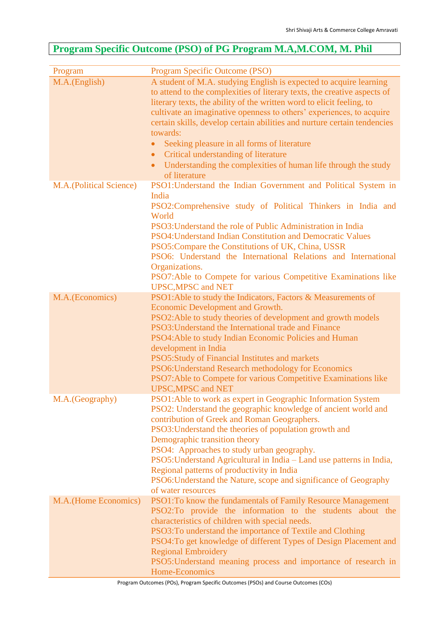## **Program Specific Outcome (PSO) of PG Program M.A,M.COM, M. Phil**

| Program                 | Program Specific Outcome (PSO)                                                                                                                                                                                                                                                                                                                                                                                                                                                                                                                                                                           |
|-------------------------|----------------------------------------------------------------------------------------------------------------------------------------------------------------------------------------------------------------------------------------------------------------------------------------------------------------------------------------------------------------------------------------------------------------------------------------------------------------------------------------------------------------------------------------------------------------------------------------------------------|
| M.A.(English)           | A student of M.A. studying English is expected to acquire learning<br>to attend to the complexities of literary texts, the creative aspects of<br>literary texts, the ability of the written word to elicit feeling, to<br>cultivate an imaginative openness to others' experiences, to acquire<br>certain skills, develop certain abilities and nurture certain tendencies<br>towards:<br>Seeking pleasure in all forms of literature<br>$\bullet$<br>Critical understanding of literature<br>$\bullet$<br>Understanding the complexities of human life through the study<br>$\bullet$<br>of literature |
| M.A.(Political Science) | PSO1: Understand the Indian Government and Political System in<br>India<br>PSO2:Comprehensive study of Political Thinkers in India and<br>World<br>PSO3: Understand the role of Public Administration in India<br>PSO4: Understand Indian Constitution and Democratic Values<br>PSO5: Compare the Constitutions of UK, China, USSR<br>PSO6: Understand the International Relations and International<br>Organizations.<br>PSO7: Able to Compete for various Competitive Examinations like<br><b>UPSC, MPSC and NET</b>                                                                                   |
| M.A.(Economics)         | PSO1: Able to study the Indicators, Factors & Measurements of<br>Economic Development and Growth.<br>PSO2: Able to study theories of development and growth models<br>PSO3: Understand the International trade and Finance<br>PSO4: Able to study Indian Economic Policies and Human<br>development in India<br>PSO5:Study of Financial Institutes and markets<br>PSO6: Understand Research methodology for Economics<br>PSO7: Able to Compete for various Competitive Examinations like<br><b>UPSC, MPSC and NET</b>                                                                                    |
| M.A.(Geography)         | PSO1: Able to work as expert in Geographic Information System<br>PSO2: Understand the geographic knowledge of ancient world and<br>contribution of Greek and Roman Geographers.<br>PSO3: Understand the theories of population growth and<br>Demographic transition theory<br>PSO4: Approaches to study urban geography.<br>PSO5: Understand Agricultural in India - Land use patterns in India,<br>Regional patterns of productivity in India<br>PSO6: Understand the Nature, scope and significance of Geography<br>of water resources                                                                 |
| M.A. (Home Economics)   | PSO1: To know the fundamentals of Family Resource Management<br>PSO2:To provide the information to the students about the<br>characteristics of children with special needs.<br>PSO3: To understand the importance of Textile and Clothing<br>PSO4: To get knowledge of different Types of Design Placement and<br><b>Regional Embroidery</b><br>PSO5: Understand meaning process and importance of research in<br>Home-Economics                                                                                                                                                                        |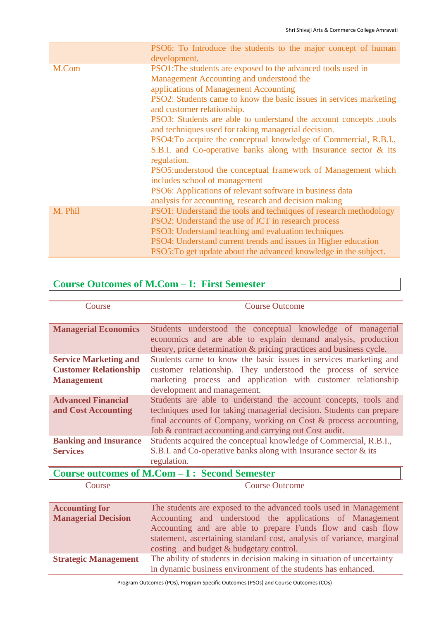|         | PSO6: To Introduce the students to the major concept of human<br>development.                            |
|---------|----------------------------------------------------------------------------------------------------------|
| M.Com   | PSO1: The students are exposed to the advanced tools used in<br>Management Accounting and understood the |
|         | applications of Management Accounting                                                                    |
|         | PSO2: Students came to know the basic issues in services marketing<br>and customer relationship.         |
|         | PSO3: Students are able to understand the account concepts ,tools                                        |
|         | and techniques used for taking managerial decision.                                                      |
|         | PSO4: To acquire the conceptual knowledge of Commercial, R.B.I.,                                         |
|         | S.B.I. and Co-operative banks along with Insurance sector & its                                          |
|         | regulation.                                                                                              |
|         | PSO5:understood the conceptual framework of Management which                                             |
|         | includes school of management                                                                            |
|         | PSO6: Applications of relevant software in business data                                                 |
|         | analysis for accounting, research and decision making                                                    |
| M. Phil | PSO1: Understand the tools and techniques of research methodology                                        |
|         | PSO2: Understand the use of ICT in research process                                                      |
|         | PSO3: Understand teaching and evaluation techniques                                                      |
|         | PSO4: Understand current trends and issues in Higher education                                           |
|         | PSO5: To get update about the advanced knowledge in the subject.                                         |

## **Course Outcomes of M.Com – I: First Semester**

| Course                       | <b>Course Outcome</b>                                                |
|------------------------------|----------------------------------------------------------------------|
|                              |                                                                      |
|                              |                                                                      |
| <b>Managerial Economics</b>  | Students understood the conceptual knowledge of managerial           |
|                              | economics and are able to explain demand analysis, production        |
|                              | theory, price determination & pricing practices and business cycle.  |
| <b>Service Marketing and</b> | Students came to know the basic issues in services marketing and     |
|                              |                                                                      |
| <b>Customer Relationship</b> | customer relationship. They understood the process of service        |
| <b>Management</b>            | marketing process and application with customer relationship         |
|                              | development and management.                                          |
| <b>Advanced Financial</b>    | Students are able to understand the account concepts, tools and      |
| and Cost Accounting          | techniques used for taking managerial decision. Students can prepare |
|                              | final accounts of Company, working on Cost & process accounting,     |
|                              |                                                                      |
|                              | Job & contract accounting and carrying out Cost audit.               |
| <b>Banking and Insurance</b> | Students acquired the conceptual knowledge of Commercial, R.B.I.,    |
| <b>Services</b>              | S.B.I. and Co-operative banks along with Insurance sector & its      |
|                              | regulation.                                                          |

### **Course outcomes of M.Com – I : Second Semester**

**Course Course Outcome** 

| <b>Accounting for</b>       | The students are exposed to the advanced tools used in Management      |
|-----------------------------|------------------------------------------------------------------------|
| <b>Managerial Decision</b>  | Accounting and understood the applications of Management               |
|                             | Accounting and are able to prepare Funds flow and cash flow            |
|                             | statement, ascertaining standard cost, analysis of variance, marginal  |
|                             | costing and budget & budgetary control.                                |
| <b>Strategic Management</b> | The ability of students in decision making in situation of uncertainty |
|                             | in dynamic business environment of the students has enhanced.          |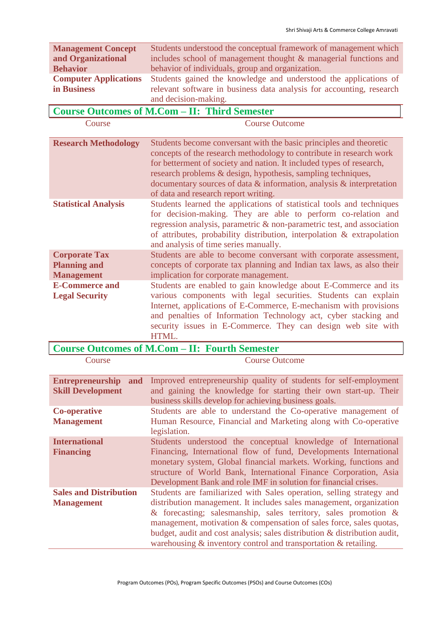| <b>Management Concept</b>    | Students understood the conceptual framework of management which     |
|------------------------------|----------------------------------------------------------------------|
| and Organizational           | includes school of management thought & managerial functions and     |
| <b>Behavior</b>              | behavior of individuals, group and organization.                     |
| <b>Computer Applications</b> | Students gained the knowledge and understood the applications of     |
| in Business                  | relevant software in business data analysis for accounting, research |
|                              | and decision-making.                                                 |

|                                                                  | and decision-making.                                                                                                                                                                                                                                                                                                                                                                                    |
|------------------------------------------------------------------|---------------------------------------------------------------------------------------------------------------------------------------------------------------------------------------------------------------------------------------------------------------------------------------------------------------------------------------------------------------------------------------------------------|
|                                                                  | <b>Course Outcomes of M.Com - II: Third Semester</b>                                                                                                                                                                                                                                                                                                                                                    |
| Course                                                           | <b>Course Outcome</b>                                                                                                                                                                                                                                                                                                                                                                                   |
| <b>Research Methodology</b>                                      | Students become conversant with the basic principles and theoretic<br>concepts of the research methodology to contribute in research work<br>for betterment of society and nation. It included types of research,<br>research problems & design, hypothesis, sampling techniques,<br>documentary sources of data $\&$ information, analysis $\&$ interpretation<br>of data and research report writing. |
| <b>Statistical Analysis</b>                                      | Students learned the applications of statistical tools and techniques<br>for decision-making. They are able to perform co-relation and<br>regression analysis, parametric & non-parametric test, and association<br>of attributes, probability distribution, interpolation & extrapolation<br>and analysis of time series manually.                                                                     |
| <b>Corporate Tax</b><br><b>Planning and</b><br><b>Management</b> | Students are able to become conversant with corporate assessment,<br>concepts of corporate tax planning and Indian tax laws, as also their<br>implication for corporate management.                                                                                                                                                                                                                     |
| <b>E-Commerce and</b><br><b>Legal Security</b>                   | Students are enabled to gain knowledge about E-Commerce and its<br>various components with legal securities. Students can explain<br>Internet, applications of E-Commerce, E-mechanism with provisions<br>and penalties of Information Technology act, cyber stacking and<br>security issues in E-Commerce. They can design web site with<br>HTML.                                                      |

### **Course Outcomes of M.Com – II: Fourth Semester**

| Course                                                     | <b>Course Outcome</b>                                                                                                                                                                                                                                                                                                                                                                                                                          |
|------------------------------------------------------------|------------------------------------------------------------------------------------------------------------------------------------------------------------------------------------------------------------------------------------------------------------------------------------------------------------------------------------------------------------------------------------------------------------------------------------------------|
| <b>Entrepreneurship</b><br>and<br><b>Skill Development</b> | Improved entrepreneurship quality of students for self-employment<br>and gaining the knowledge for starting their own start-up. Their<br>business skills develop for achieving business goals.                                                                                                                                                                                                                                                 |
| <b>Co-operative</b><br><b>Management</b>                   | Students are able to understand the Co-operative management of<br>Human Resource, Financial and Marketing along with Co-operative<br>legislation.                                                                                                                                                                                                                                                                                              |
| <b>International</b><br><b>Financing</b>                   | Students understood the conceptual knowledge of International<br>Financing, International flow of fund, Developments International<br>monetary system, Global financial markets. Working, functions and<br>structure of World Bank, International Finance Corporation, Asia<br>Development Bank and role IMF in solution for financial crises.                                                                                                 |
| <b>Sales and Distribution</b><br><b>Management</b>         | Students are familiarized with Sales operation, selling strategy and<br>distribution management. It includes sales management, organization<br>& forecasting; salesmanship, sales territory, sales promotion $\&$<br>management, motivation & compensation of sales force, sales quotas,<br>budget, audit and cost analysis; sales distribution & distribution audit,<br>warehousing $\&$ inventory control and transportation $\&$ retailing. |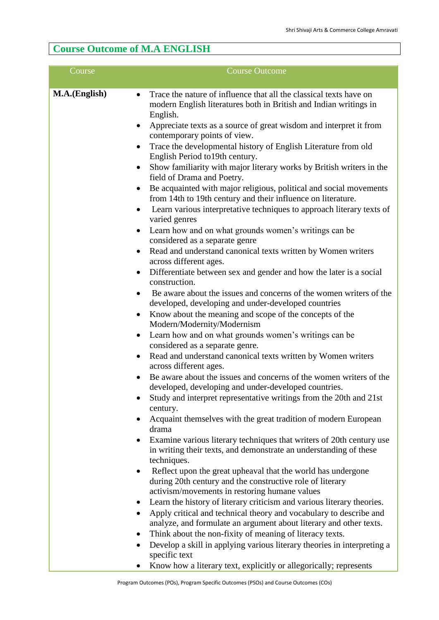## **Course Outcome of M.A ENGLISH**

| Course                                  | <b>Course Outcome</b>                                                                                                                                                                                                                                                                                                                                                                                                                                        |
|-----------------------------------------|--------------------------------------------------------------------------------------------------------------------------------------------------------------------------------------------------------------------------------------------------------------------------------------------------------------------------------------------------------------------------------------------------------------------------------------------------------------|
| M.A.(English)<br>$\bullet$<br>$\bullet$ | Trace the nature of influence that all the classical texts have on<br>modern English literatures both in British and Indian writings in<br>English.<br>Appreciate texts as a source of great wisdom and interpret it from<br>contemporary points of view.<br>Trace the developmental history of English Literature from old<br>English Period to 19th century.                                                                                               |
| $\bullet$                               | Show familiarity with major literary works by British writers in the<br>field of Drama and Poetry.<br>Be acquainted with major religious, political and social movements<br>from 14th to 19th century and their influence on literature.<br>Learn various interpretative techniques to approach literary texts of<br>varied genres                                                                                                                           |
| $\bullet$<br>$\bullet$                  | Learn how and on what grounds women's writings can be<br>considered as a separate genre<br>Read and understand canonical texts written by Women writers<br>across different ages.<br>Differentiate between sex and gender and how the later is a social<br>construction.                                                                                                                                                                                     |
| $\bullet$<br>$\bullet$                  | Be aware about the issues and concerns of the women writers of the<br>developed, developing and under-developed countries<br>Know about the meaning and scope of the concepts of the<br>Modern/Modernity/Modernism<br>Learn how and on what grounds women's writings can be<br>considered as a separate genre.                                                                                                                                               |
| $\bullet$<br>$\bullet$                  | Read and understand canonical texts written by Women writers<br>across different ages.<br>Be aware about the issues and concerns of the women writers of the<br>developed, developing and under-developed countries.<br>Study and interpret representative writings from the 20th and 21st<br>century.                                                                                                                                                       |
|                                         | Acquaint themselves with the great tradition of modern European<br>drama<br>Examine various literary techniques that writers of 20th century use<br>in writing their texts, and demonstrate an understanding of these<br>techniques.                                                                                                                                                                                                                         |
| ٠<br>٠                                  | Reflect upon the great upheaval that the world has undergone<br>during 20th century and the constructive role of literary<br>activism/movements in restoring humane values<br>Learn the history of literary criticism and various literary theories.<br>Apply critical and technical theory and vocabulary to describe and<br>analyze, and formulate an argument about literary and other texts.<br>Think about the non-fixity of meaning of literacy texts. |
| ٠                                       | Develop a skill in applying various literary theories in interpreting a<br>specific text                                                                                                                                                                                                                                                                                                                                                                     |

• Know how a literary text, explicitly or allegorically; represents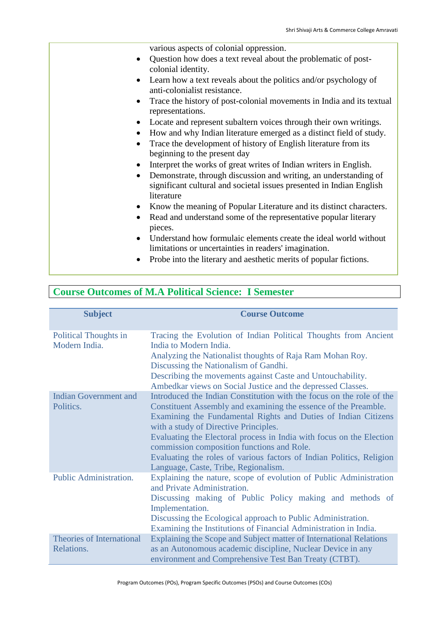various aspects of colonial oppression.

- Question how does a text reveal about the problematic of postcolonial identity.
- Learn how a text reveals about the politics and/or psychology of anti-colonialist resistance.
- Trace the history of post-colonial movements in India and its textual representations.
- Locate and represent subaltern voices through their own writings.
- How and why Indian literature emerged as a distinct field of study.
- Trace the development of history of English literature from its beginning to the present day
- Interpret the works of great writes of Indian writers in English.
- Demonstrate, through discussion and writing, an understanding of significant cultural and societal issues presented in Indian English literature
- Know the meaning of Popular Literature and its distinct characters.
- Read and understand some of the representative popular literary pieces.
- Understand how formulaic elements create the ideal world without limitations or uncertainties in readers' imagination.
- Probe into the literary and aesthetic merits of popular fictions.

### **Course Outcomes of M.A Political Science: I Semester**

| <b>Subject</b>                                | <b>Course Outcome</b>                                                                                                                   |
|-----------------------------------------------|-----------------------------------------------------------------------------------------------------------------------------------------|
| <b>Political Thoughts in</b><br>Modern India. | Tracing the Evolution of Indian Political Thoughts from Ancient<br>India to Modern India.                                               |
|                                               | Analyzing the Nationalist thoughts of Raja Ram Mohan Roy.<br>Discussing the Nationalism of Gandhi.                                      |
|                                               | Describing the movements against Caste and Untouchability.<br>Ambedkar views on Social Justice and the depressed Classes.               |
| <b>Indian Government and</b><br>Politics.     | Introduced the Indian Constitution with the focus on the role of the<br>Constituent Assembly and examining the essence of the Preamble. |
|                                               | Examining the Fundamental Rights and Duties of Indian Citizens<br>with a study of Directive Principles.                                 |
|                                               | Evaluating the Electoral process in India with focus on the Election<br>commission composition functions and Role.                      |
|                                               | Evaluating the roles of various factors of Indian Politics, Religion<br>Language, Caste, Tribe, Regionalism.                            |
| Public Administration.                        | Explaining the nature, scope of evolution of Public Administration<br>and Private Administration.                                       |
|                                               | Discussing making of Public Policy making and methods of<br>Implementation.                                                             |
|                                               | Discussing the Ecological approach to Public Administration.<br>Examining the Institutions of Financial Administration in India.        |
| <b>Theories of International</b>              | Explaining the Scope and Subject matter of International Relations                                                                      |
| Relations.                                    | as an Autonomous academic discipline, Nuclear Device in any<br>environment and Comprehensive Test Ban Treaty (CTBT).                    |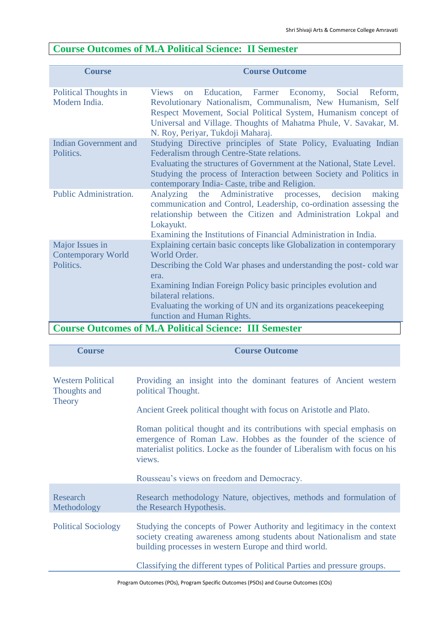## **Course Outcomes of M.A Political Science: II Semester**

| <b>Course</b>                                             | <b>Course Outcome</b>                                                                                                                                                                                                                                                                                                       |
|-----------------------------------------------------------|-----------------------------------------------------------------------------------------------------------------------------------------------------------------------------------------------------------------------------------------------------------------------------------------------------------------------------|
| <b>Political Thoughts in</b><br>Modern India.             | Education,<br><b>Views</b><br>Farmer<br>Economy,<br>Social<br>Reform,<br><b>on</b><br>Revolutionary Nationalism, Communalism, New Humanism, Self<br>Respect Movement, Social Political System, Humanism concept of<br>Universal and Village. Thoughts of Mahatma Phule, V. Savakar, M.<br>N. Roy, Periyar, Tukdoji Maharaj. |
| <b>Indian Government and</b><br>Politics.                 | Studying Directive principles of State Policy, Evaluating Indian<br>Federalism through Centre-State relations.<br>Evaluating the structures of Government at the National, State Level.<br>Studying the process of Interaction between Society and Politics in<br>contemporary India-Caste, tribe and Religion.             |
| Public Administration.                                    | Analyzing the Administrative processes,<br>decision<br>making<br>communication and Control, Leadership, co-ordination assessing the<br>relationship between the Citizen and Administration Lokpal and<br>Lokayukt.<br>Examining the Institutions of Financial Administration in India.                                      |
| Major Issues in<br><b>Contemporary World</b><br>Politics. | Explaining certain basic concepts like Globalization in contemporary<br>World Order.<br>Describing the Cold War phases and understanding the post-cold war<br>era.<br>Examining Indian Foreign Policy basic principles evolution and                                                                                        |
|                                                           | bilateral relations.<br>Evaluating the working of UN and its organizations peace keeping<br>function and Human Rights.<br>Course Outserves of M A Political Science: HI Semester                                                                                                                                            |

### **Course Outcomes of M.A Political Science: III Semester**

| <b>Course</b>                                             | <b>Course Outcome</b>                                                                                                                                                                                                             |
|-----------------------------------------------------------|-----------------------------------------------------------------------------------------------------------------------------------------------------------------------------------------------------------------------------------|
| <b>Western Political</b><br>Thoughts and<br><b>Theory</b> | Providing an insight into the dominant features of Ancient western<br>political Thought.<br>Ancient Greek political thought with focus on Aristotle and Plato.                                                                    |
|                                                           | Roman political thought and its contributions with special emphasis on<br>emergence of Roman Law. Hobbes as the founder of the science of<br>materialist politics. Locke as the founder of Liberalism with focus on his<br>views. |
|                                                           | Rousseau's views on freedom and Democracy.                                                                                                                                                                                        |
| Research<br>Methodology                                   | Research methodology Nature, objectives, methods and formulation of<br>the Research Hypothesis.                                                                                                                                   |
| <b>Political Sociology</b>                                | Studying the concepts of Power Authority and legitimacy in the context<br>society creating awareness among students about Nationalism and state<br>building processes in western Europe and third world.                          |
|                                                           | Classifying the different types of Political Parties and pressure groups.                                                                                                                                                         |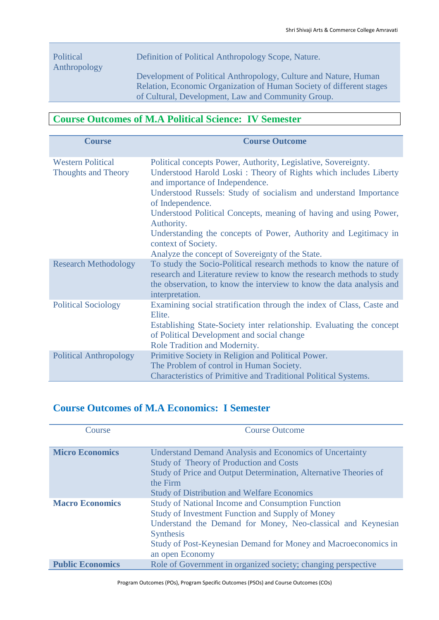### Political Anthropology

Definition of Political Anthropology Scope, Nature.

Development of Political Anthropology, Culture and Nature, Human Relation, Economic Organization of Human Society of different stages of Cultural, Development, Law and Community Group.

## **Course Outcomes of M.A Political Science: IV Semester**

| <b>Course</b>                                          | <b>Course Outcome</b>                                                                                                                                                                                                                                                                                                                                                                                                                       |
|--------------------------------------------------------|---------------------------------------------------------------------------------------------------------------------------------------------------------------------------------------------------------------------------------------------------------------------------------------------------------------------------------------------------------------------------------------------------------------------------------------------|
| <b>Western Political</b><br><b>Thoughts and Theory</b> | Political concepts Power, Authority, Legislative, Sovereignty.<br>Understood Harold Loski: Theory of Rights which includes Liberty<br>and importance of Independence.<br>Understood Russels: Study of socialism and understand Importance<br>of Independence.<br>Understood Political Concepts, meaning of having and using Power,<br>Authority.<br>Understanding the concepts of Power, Authority and Legitimacy in<br>context of Society. |
|                                                        | Analyze the concept of Sovereignty of the State.                                                                                                                                                                                                                                                                                                                                                                                            |
| <b>Research Methodology</b>                            | To study the Socio-Political research methods to know the nature of<br>research and Literature review to know the research methods to study<br>the observation, to know the interview to know the data analysis and<br>interpretation.                                                                                                                                                                                                      |
| <b>Political Sociology</b>                             | Examining social stratification through the index of Class, Caste and<br>Elite.<br>Establishing State-Society inter relationship. Evaluating the concept<br>of Political Development and social change<br>Role Tradition and Modernity.                                                                                                                                                                                                     |
| <b>Political Anthropology</b>                          | Primitive Society in Religion and Political Power.<br>The Problem of control in Human Society.<br>Characteristics of Primitive and Traditional Political Systems.                                                                                                                                                                                                                                                                           |

### **Course Outcomes of M.A Economics: I Semester**

| Course                  | <b>Course Outcome</b>                                            |
|-------------------------|------------------------------------------------------------------|
|                         |                                                                  |
| <b>Micro Economics</b>  | <b>Understand Demand Analysis and Economics of Uncertainty</b>   |
|                         | <b>Study of Theory of Production and Costs</b>                   |
|                         | Study of Price and Output Determination, Alternative Theories of |
|                         | the Firm                                                         |
|                         | <b>Study of Distribution and Welfare Economics</b>               |
| <b>Macro Economics</b>  | <b>Study of National Income and Consumption Function</b>         |
|                         | <b>Study of Investment Function and Supply of Money</b>          |
|                         | Understand the Demand for Money, Neo-classical and Keynesian     |
|                         | <b>Synthesis</b>                                                 |
|                         | Study of Post-Keynesian Demand for Money and Macroeconomics in   |
|                         | an open Economy                                                  |
| <b>Public Economics</b> | Role of Government in organized society; changing perspective    |

Program Outcomes (POs), Program Specific Outcomes (PSOs) and Course Outcomes (COs)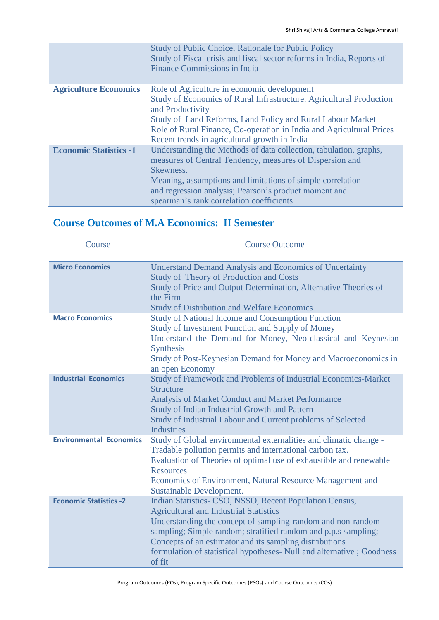|                               | Study of Public Choice, Rationale for Public Policy<br>Study of Fiscal crisis and fiscal sector reforms in India, Reports of<br><b>Finance Commissions in India</b>                                                                                                                                                           |
|-------------------------------|-------------------------------------------------------------------------------------------------------------------------------------------------------------------------------------------------------------------------------------------------------------------------------------------------------------------------------|
| <b>Agriculture Economics</b>  | Role of Agriculture in economic development<br>Study of Economics of Rural Infrastructure. Agricultural Production<br>and Productivity<br>Study of Land Reforms, Land Policy and Rural Labour Market<br>Role of Rural Finance, Co-operation in India and Agricultural Prices<br>Recent trends in agricultural growth in India |
| <b>Economic Statistics -1</b> | Understanding the Methods of data collection, tabulation. graphs,<br>measures of Central Tendency, measures of Dispersion and<br>Skewness.<br>Meaning, assumptions and limitations of simple correlation<br>and regression analysis; Pearson's product moment and<br>spearman's rank correlation coefficients                 |

### **Course Outcomes of M.A Economics: II Semester**

| Course                         | <b>Course Outcome</b>                                                                                                                                                                                                                                                                                                                                                                    |
|--------------------------------|------------------------------------------------------------------------------------------------------------------------------------------------------------------------------------------------------------------------------------------------------------------------------------------------------------------------------------------------------------------------------------------|
| <b>Micro Economics</b>         | <b>Understand Demand Analysis and Economics of Uncertainty</b><br><b>Study of Theory of Production and Costs</b><br>Study of Price and Output Determination, Alternative Theories of<br>the Firm<br><b>Study of Distribution and Welfare Economics</b>                                                                                                                                   |
| <b>Macro Economics</b>         | <b>Study of National Income and Consumption Function</b><br>Study of Investment Function and Supply of Money<br>Understand the Demand for Money, Neo-classical and Keynesian<br><b>Synthesis</b><br>Study of Post-Keynesian Demand for Money and Macroeconomics in<br>an open Economy                                                                                                    |
| <b>Industrial Economics</b>    | Study of Framework and Problems of Industrial Economics-Market<br><b>Structure</b><br><b>Analysis of Market Conduct and Market Performance</b><br>Study of Indian Industrial Growth and Pattern<br>Study of Industrial Labour and Current problems of Selected<br><b>Industries</b>                                                                                                      |
| <b>Environmental Economics</b> | Study of Global environmental externalities and climatic change -<br>Tradable pollution permits and international carbon tax.<br>Evaluation of Theories of optimal use of exhaustible and renewable<br><b>Resources</b><br>Economics of Environment, Natural Resource Management and<br>Sustainable Development.                                                                         |
| <b>Economic Statistics -2</b>  | Indian Statistics- CSO, NSSO, Recent Population Census,<br><b>Agricultural and Industrial Statistics</b><br>Understanding the concept of sampling-random and non-random<br>sampling; Simple random; stratified random and p.p.s sampling;<br>Concepts of an estimator and its sampling distributions<br>formulation of statistical hypotheses- Null and alternative ; Goodness<br>of fit |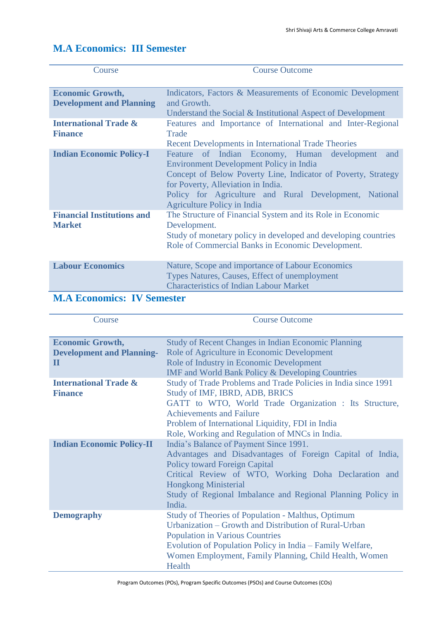| Course                                                                       | <b>Course Outcome</b>                                                                                                                                                                                                                                                                                        |
|------------------------------------------------------------------------------|--------------------------------------------------------------------------------------------------------------------------------------------------------------------------------------------------------------------------------------------------------------------------------------------------------------|
| <b>Economic Growth,</b><br><b>Development and Planning</b>                   | Indicators, Factors & Measurements of Economic Development<br>and Growth.<br>Understand the Social & Institutional Aspect of Development                                                                                                                                                                     |
| <b>International Trade &amp;</b><br><b>Finance</b>                           | Features and Importance of International and Inter-Regional<br>Trade<br><b>Recent Developments in International Trade Theories</b>                                                                                                                                                                           |
| <b>Indian Economic Policy-I</b>                                              | Feature of Indian Economy, Human development<br>and<br><b>Environment Development Policy in India</b><br>Concept of Below Poverty Line, Indicator of Poverty, Strategy<br>for Poverty, Alleviation in India.<br>Policy for Agriculture and Rural Development, National<br><b>Agriculture Policy in India</b> |
| <b>Financial Institutions and</b><br><b>Market</b>                           | The Structure of Financial System and its Role in Economic<br>Development.<br>Study of monetary policy in developed and developing countries<br>Role of Commercial Banks in Economic Development.                                                                                                            |
| <b>Labour Economics</b><br>۰<br><b>TV7 C</b><br><b>B</b> <i>B</i> A <b>B</b> | Nature, Scope and importance of Labour Economics<br>Types Natures, Causes, Effect of unemployment<br><b>Characteristics of Indian Labour Market</b>                                                                                                                                                          |

## **M.A Economics: III Semester**

#### **M.A Economics: IV Semester**

| Course                                                                     | <b>Course Outcome</b>                                                                                                                                                                                                                                                                                       |
|----------------------------------------------------------------------------|-------------------------------------------------------------------------------------------------------------------------------------------------------------------------------------------------------------------------------------------------------------------------------------------------------------|
| <b>Economic Growth,</b><br><b>Development and Planning-</b><br>$\mathbf H$ | <b>Study of Recent Changes in Indian Economic Planning</b><br>Role of Agriculture in Economic Development<br>Role of Industry in Economic Development<br><b>IMF</b> and World Bank Policy & Developing Countries                                                                                            |
| <b>International Trade &amp;</b><br><b>Finance</b>                         | Study of Trade Problems and Trade Policies in India since 1991<br>Study of IMF, IBRD, ADB, BRICS<br>GATT to WTO, World Trade Organization : Its Structure,<br><b>Achievements and Failure</b><br>Problem of International Liquidity, FDI in India<br>Role, Working and Regulation of MNCs in India.         |
| <b>Indian Economic Policy-II</b>                                           | India's Balance of Payment Since 1991.<br>Advantages and Disadvantages of Foreign Capital of India,<br><b>Policy toward Foreign Capital</b><br>Critical Review of WTO, Working Doha Declaration and<br><b>Hongkong Ministerial</b><br>Study of Regional Imbalance and Regional Planning Policy in<br>India. |
| <b>Demography</b>                                                          | Study of Theories of Population - Malthus, Optimum<br>Urbanization – Growth and Distribution of Rural-Urban<br><b>Population in Various Countries</b><br>Evolution of Population Policy in India – Family Welfare,<br>Women Employment, Family Planning, Child Health, Women<br>Health                      |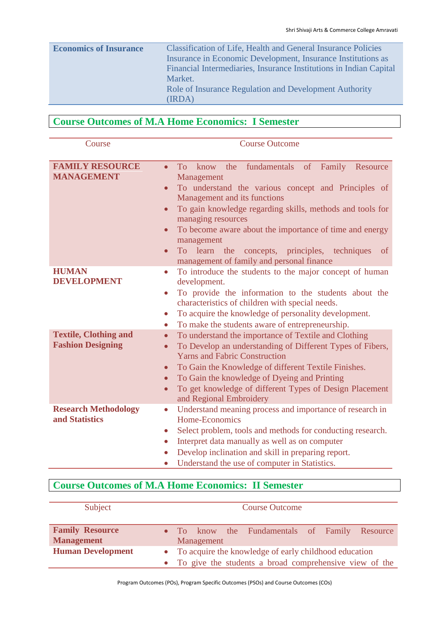| <b>Economics of Insurance</b> | <b>Classification of Life, Health and General Insurance Policies</b> |
|-------------------------------|----------------------------------------------------------------------|
|                               | Insurance in Economic Development, Insurance Institutions as         |
|                               | Financial Intermediaries, Insurance Institutions in Indian Capital   |
|                               | Market.                                                              |
|                               | Role of Insurance Regulation and Development Authority               |
|                               | (IRDA)                                                               |

## **Course Outcomes of M.A Home Economics: I Semester**

| Course                                                   | <b>Course Outcome</b>                                                                                                                                                                                                                                                                                                                                                                                                                                                       |
|----------------------------------------------------------|-----------------------------------------------------------------------------------------------------------------------------------------------------------------------------------------------------------------------------------------------------------------------------------------------------------------------------------------------------------------------------------------------------------------------------------------------------------------------------|
|                                                          |                                                                                                                                                                                                                                                                                                                                                                                                                                                                             |
| <b>FAMILY RESOURCE</b><br><b>MANAGEMENT</b>              | fundamentals<br><b>To</b><br>know<br>the<br>of<br>Family<br>Resource<br>$\bullet$<br>Management<br>To understand the various concept and Principles of<br>$\bullet$<br>Management and its functions<br>To gain knowledge regarding skills, methods and tools for<br>$\bullet$<br>managing resources<br>To become aware about the importance of time and energy<br>$\bullet$<br>management<br>To learn the<br>concepts, principles, techniques<br><sub>of</sub><br>$\bullet$ |
| <b>HUMAN</b><br><b>DEVELOPMENT</b>                       | management of family and personal finance<br>To introduce the students to the major concept of human<br>$\bullet$<br>development.<br>To provide the information to the students about the<br>$\bullet$<br>characteristics of children with special needs.<br>To acquire the knowledge of personality development.<br>$\bullet$<br>To make the students aware of entrepreneurship.<br>$\bullet$                                                                              |
| <b>Textile, Clothing and</b><br><b>Fashion Designing</b> | To understand the importance of Textile and Clothing<br>$\bullet$<br>To Develop an understanding of Different Types of Fibers,<br>$\bullet$<br><b>Yarns and Fabric Construction</b><br>To Gain the Knowledge of different Textile Finishes.<br>$\bullet$<br>To Gain the knowledge of Dyeing and Printing<br>$\bullet$<br>To get knowledge of different Types of Design Placement<br>$\bullet$<br>and Regional Embroidery                                                    |
| <b>Research Methodology</b><br>and Statistics            | Understand meaning process and importance of research in<br>$\bullet$<br>Home-Economics<br>Select problem, tools and methods for conducting research.<br>$\bullet$<br>Interpret data manually as well as on computer<br>$\bullet$<br>Develop inclination and skill in preparing report.<br>$\bullet$<br>Understand the use of computer in Statistics.                                                                                                                       |

## **Course Outcomes of M.A Home Economics: II Semester**

| Subject                                     |                                                                                                                     |  | <b>Course Outcome</b>                         |  |  |
|---------------------------------------------|---------------------------------------------------------------------------------------------------------------------|--|-----------------------------------------------|--|--|
| <b>Family Resource</b><br><b>Management</b> | Management                                                                                                          |  | • To know the Fundamentals of Family Resource |  |  |
| <b>Human Development</b>                    | • To acquire the knowledge of early childhood education<br>• To give the students a broad comprehensive view of the |  |                                               |  |  |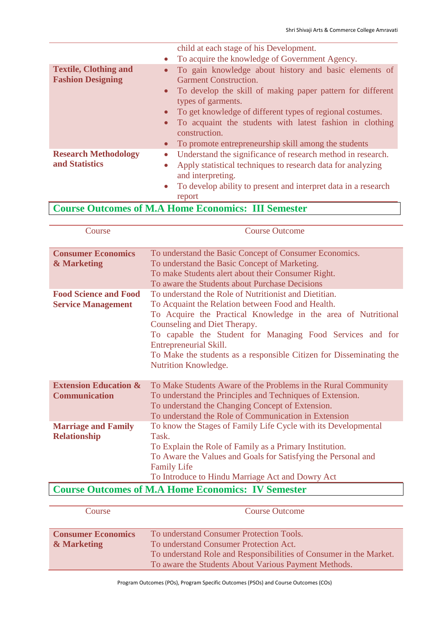|                              |           | child at each stage of his Development.                                          |
|------------------------------|-----------|----------------------------------------------------------------------------------|
|                              | $\bullet$ | To acquire the knowledge of Government Agency.                                   |
| <b>Textile, Clothing and</b> | $\bullet$ | To gain knowledge about history and basic elements of                            |
| <b>Fashion Designing</b>     |           | <b>Garment Construction.</b>                                                     |
|                              |           | To develop the skill of making paper pattern for different<br>types of garments. |
|                              | $\bullet$ | To get knowledge of different types of regional costumes.                        |
|                              |           | To acquaint the students with latest fashion in clothing<br>construction.        |
|                              |           | To promote entrepreneurship skill among the students                             |
| <b>Research Methodology</b>  | $\bullet$ | Understand the significance of research method in research.                      |
| and Statistics               |           | Apply statistical techniques to research data for analyzing<br>and interpreting. |
|                              |           | To develop ability to present and interpret data in a research                   |

## **Course Outcomes of M.A Home Economics: III Semester**

report

| Course                                                    | <b>Course Outcome</b>                                                                                                                                                                                                                                                                                                                                                                             |
|-----------------------------------------------------------|---------------------------------------------------------------------------------------------------------------------------------------------------------------------------------------------------------------------------------------------------------------------------------------------------------------------------------------------------------------------------------------------------|
| <b>Consumer Economics</b><br>& Marketing                  | To understand the Basic Concept of Consumer Economics.<br>To understand the Basic Concept of Marketing.<br>To make Students alert about their Consumer Right.<br>To aware the Students about Purchase Decisions                                                                                                                                                                                   |
| <b>Food Science and Food</b><br><b>Service Management</b> | To understand the Role of Nutritionist and Dietitian.<br>To Acquaint the Relation between Food and Health.<br>To Acquire the Practical Knowledge in the area of Nutritional<br>Counseling and Diet Therapy.<br>To capable the Student for Managing Food Services and for<br>Entrepreneurial Skill.<br>To Make the students as a responsible Citizen for Disseminating the<br>Nutrition Knowledge. |
| <b>Extension Education &amp;</b><br><b>Communication</b>  | To Make Students Aware of the Problems in the Rural Community<br>To understand the Principles and Techniques of Extension.<br>To understand the Changing Concept of Extension.<br>To understand the Role of Communication in Extension                                                                                                                                                            |
| <b>Marriage and Family</b><br><b>Relationship</b>         | To know the Stages of Family Life Cycle with its Developmental<br>Task.<br>To Explain the Role of Family as a Primary Institution.<br>To Aware the Values and Goals for Satisfying the Personal and<br><b>Family Life</b><br>To Introduce to Hindu Marriage Act and Dowry Act                                                                                                                     |
|                                                           | <b>Course Outcomes of M.A Home Economics: IV Semester</b>                                                                                                                                                                                                                                                                                                                                         |
|                                                           |                                                                                                                                                                                                                                                                                                                                                                                                   |

| Course                    | <b>Course Outcome</b>                                              |
|---------------------------|--------------------------------------------------------------------|
|                           |                                                                    |
| <b>Consumer Economics</b> | To understand Consumer Protection Tools.                           |
| & Marketing               | To understand Consumer Protection Act.                             |
|                           | To understand Role and Responsibilities of Consumer in the Market. |
|                           | To aware the Students About Various Payment Methods.               |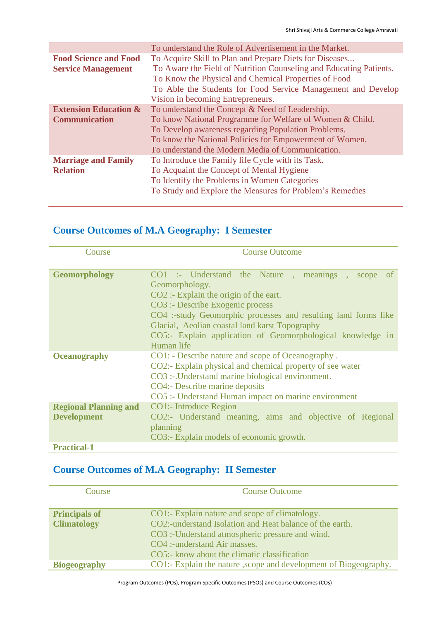|                                  | To understand the Role of Advertisement in the Market.             |
|----------------------------------|--------------------------------------------------------------------|
| <b>Food Science and Food</b>     | To Acquire Skill to Plan and Prepare Diets for Diseases            |
| <b>Service Management</b>        | To Aware the Field of Nutrition Counseling and Educating Patients. |
|                                  | To Know the Physical and Chemical Properties of Food               |
|                                  | To Able the Students for Food Service Management and Develop       |
|                                  | Vision in becoming Entrepreneurs.                                  |
| <b>Extension Education &amp;</b> | To understand the Concept & Need of Leadership.                    |
| <b>Communication</b>             | To know National Programme for Welfare of Women & Child.           |
|                                  | To Develop awareness regarding Population Problems.                |
|                                  | To know the National Policies for Empowerment of Women.            |
|                                  | To understand the Modern Media of Communication.                   |
| <b>Marriage and Family</b>       | To Introduce the Family life Cycle with its Task.                  |
| <b>Relation</b>                  | To Acquaint the Concept of Mental Hygiene                          |
|                                  | To Identify the Problems in Women Categories                       |
|                                  | To Study and Explore the Measures for Problem's Remedies           |
|                                  |                                                                    |

### **Course Outcomes of M.A Geography: I Semester**

| Course                                              | <b>Course Outcome</b>                                                                                                                                                                                                                                                                                                                                             |
|-----------------------------------------------------|-------------------------------------------------------------------------------------------------------------------------------------------------------------------------------------------------------------------------------------------------------------------------------------------------------------------------------------------------------------------|
| <b>Geomorphology</b>                                | CO1 :- Understand the Nature , meanings , scope<br><sub>of</sub><br>Geomorphology.<br>$CO2$ : Explain the origin of the eart.<br>CO3 :- Describe Exogenic process<br>CO4 :-study Geomorphic processes and resulting land forms like<br>Glacial, Aeolian coastal land karst Topography<br>CO5:- Explain application of Geomorphological knowledge in<br>Human life |
| <b>Oceanography</b><br><b>Regional Planning and</b> | CO1: - Describe nature and scope of Oceanography.<br>CO2:- Explain physical and chemical property of see water<br>CO3 :-. Understand marine biological environment.<br>CO4:- Describe marine deposits<br>CO5 :- Understand Human impact on marine environment<br>CO1:- Introduce Region                                                                           |
| <b>Development</b>                                  | CO2:- Understand meaning, aims and objective of Regional<br>planning<br>CO3:- Explain models of economic growth.                                                                                                                                                                                                                                                  |
| <b>Practical-1</b>                                  |                                                                                                                                                                                                                                                                                                                                                                   |

## **Course Outcomes of M.A Geography: II Semester**

| Course               | <b>Course Outcome</b>                                             |
|----------------------|-------------------------------------------------------------------|
|                      |                                                                   |
| <b>Principals of</b> | CO1:- Explain nature and scope of climatology.                    |
| <b>Climatology</b>   | CO2:-understand Isolation and Heat balance of the earth.          |
|                      | CO3 :- Understand atmospheric pressure and wind.                  |
|                      | CO4 :-understand Air masses.                                      |
|                      | CO5:- know about the climatic classification                      |
| <b>Biogeography</b>  | CO1:- Explain the nature , scope and development of Biogeography. |

Program Outcomes (POs), Program Specific Outcomes (PSOs) and Course Outcomes (COs)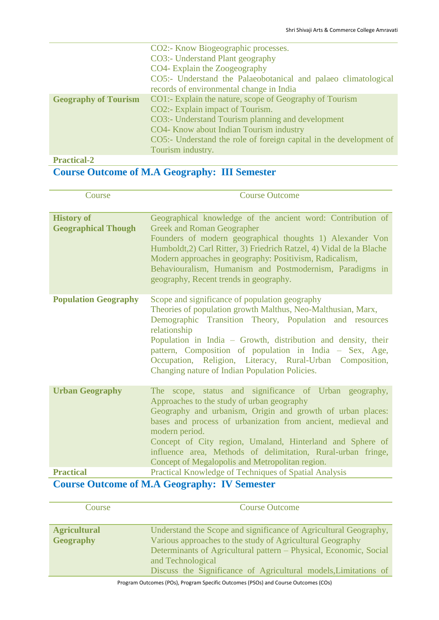|                                            | CO2:- Know Biogeographic processes.                                |
|--------------------------------------------|--------------------------------------------------------------------|
|                                            | CO3:- Understand Plant geography                                   |
|                                            | CO4- Explain the Zoogeography                                      |
|                                            | CO5:- Understand the Palaeobotanical and palaeo climatological     |
|                                            | records of environmental change in India                           |
| <b>Geography of Tourism</b>                | CO1:- Explain the nature, scope of Geography of Tourism            |
|                                            | CO2:- Explain impact of Tourism.                                   |
|                                            | CO3:- Understand Tourism planning and development                  |
|                                            | CO4- Know about Indian Tourism industry                            |
|                                            | CO5:- Understand the role of foreign capital in the development of |
|                                            | Tourism industry.                                                  |
| $\mathbf{D}$ . $\mathbf{P}$ . $\mathbf{P}$ |                                                                    |

#### **Practical-2**

## **Course Outcome of M.A Geography: III Semester**

| Course                                          | <b>Course Outcome</b>                                                                                                                                                                                                                                                                                                                                                                                                                |
|-------------------------------------------------|--------------------------------------------------------------------------------------------------------------------------------------------------------------------------------------------------------------------------------------------------------------------------------------------------------------------------------------------------------------------------------------------------------------------------------------|
| <b>History of</b><br><b>Geographical Though</b> | Geographical knowledge of the ancient word: Contribution of<br><b>Greek and Roman Geographer</b><br>Founders of modern geographical thoughts 1) Alexander Von<br>Humboldt, 2) Carl Ritter, 3) Friedrich Ratzel, 4) Vidal de la Blache<br>Modern approaches in geography: Positivism, Radicalism,<br>Behaviouralism, Humanism and Postmodernism, Paradigms in<br>geography, Recent trends in geography.                               |
| <b>Population Geography</b>                     | Scope and significance of population geography<br>Theories of population growth Malthus, Neo-Malthusian, Marx,<br>Demographic Transition Theory, Population and resources<br>relationship<br>Population in India - Growth, distribution and density, their<br>pattern, Composition of population in India – Sex, Age,<br>Occupation, Religion, Literacy, Rural-Urban Composition,<br>Changing nature of Indian Population Policies.  |
| <b>Urban Geography</b>                          | The scope, status and significance of Urban geography,<br>Approaches to the study of urban geography<br>Geography and urbanism, Origin and growth of urban places:<br>bases and process of urbanization from ancient, medieval and<br>modern period.<br>Concept of City region, Umaland, Hinterland and Sphere of<br>influence area, Methods of delimitation, Rural-urban fringe,<br>Concept of Megalopolis and Metropolitan region. |
| <b>Practical</b>                                | Practical Knowledge of Techniques of Spatial Analysis                                                                                                                                                                                                                                                                                                                                                                                |
|                                                 | Course Outsome of MA Coomenhy. W Semester                                                                                                                                                                                                                                                                                                                                                                                            |

### **Course Outcome of M.A Geography: IV Semester**

| <b>Course</b>                           | <b>Course Outcome</b>                                                                                                                                                                                                                                                                      |
|-----------------------------------------|--------------------------------------------------------------------------------------------------------------------------------------------------------------------------------------------------------------------------------------------------------------------------------------------|
| <b>Agricultural</b><br><b>Geography</b> | Understand the Scope and significance of Agricultural Geography,<br>Various approaches to the study of Agricultural Geography<br>Determinants of Agricultural pattern – Physical, Economic, Social<br>and Technological<br>Discuss the Significance of Agricultural models, Limitations of |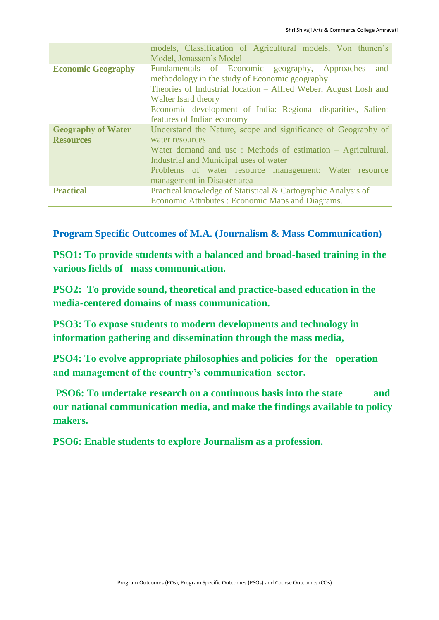|                                               | models, Classification of Agricultural models, Von thunen's<br>Model, Jonasson's Model                                                                                                                                                                                                          |
|-----------------------------------------------|-------------------------------------------------------------------------------------------------------------------------------------------------------------------------------------------------------------------------------------------------------------------------------------------------|
| <b>Economic Geography</b>                     | Fundamentals of Economic geography, Approaches<br>and<br>methodology in the study of Economic geography<br>Theories of Industrial location – Alfred Weber, August Losh and<br>Walter Isard theory<br>Economic development of India: Regional disparities, Salient<br>features of Indian economy |
| <b>Geography of Water</b><br><b>Resources</b> | Understand the Nature, scope and significance of Geography of<br>water resources<br>Water demand and use: Methods of estimation – Agricultural,<br>Industrial and Municipal uses of water<br>Problems of water resource management: Water resource<br>management in Disaster area               |
| <b>Practical</b>                              | Practical knowledge of Statistical & Cartographic Analysis of<br>Economic Attributes : Economic Maps and Diagrams.                                                                                                                                                                              |

**Program Specific Outcomes of M.A. (Journalism & Mass Communication)**

**PSO1: To provide students with a balanced and broad-based training in the various fields of mass communication.**

**PSO2: To provide sound, theoretical and practice-based education in the media-centered domains of mass communication.**

**PSO3: To expose students to modern developments and technology in information gathering and dissemination through the mass media,**

**PSO4:** To evolve appropriate philosophies and policies for the operation **and management of the country's communication sector.** 

**PSO6: To undertake research on a continuous basis into the state and our national communication media, and make the findings available to policy makers.**

**PSO6: Enable students to explore Journalism as a profession.**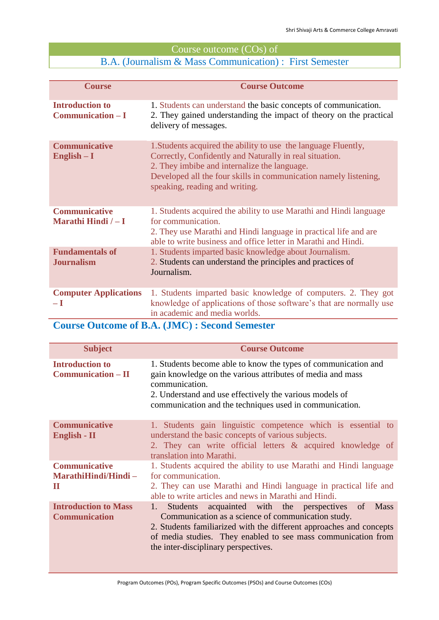## Course outcome (COs) of

## B.A. (Journalism & Mass Communication) : First Semester

| <b>Course</b>                                 | <b>Course Outcome</b>                                                                                                                                                                                                                                                           |
|-----------------------------------------------|---------------------------------------------------------------------------------------------------------------------------------------------------------------------------------------------------------------------------------------------------------------------------------|
| <b>Introduction to</b><br>$Communication-I$   | 1. Students can understand the basic concepts of communication.<br>2. They gained understanding the impact of theory on the practical<br>delivery of messages.                                                                                                                  |
| <b>Communicative</b><br>$English - I$         | 1. Students acquired the ability to use the language Fluently,<br>Correctly, Confidently and Naturally in real situation.<br>2. They imbibe and internalize the language.<br>Developed all the four skills in communication namely listening,<br>speaking, reading and writing. |
| <b>Communicative</b><br>Marathi Hindi $/ - I$ | 1. Students acquired the ability to use Marathi and Hindi language<br>for communication.<br>2. They use Marathi and Hindi language in practical life and are<br>able to write business and office letter in Marathi and Hindi.                                                  |
| <b>Fundamentals of</b><br><b>Journalism</b>   | 1. Students imparted basic knowledge about Journalism.<br>2. Students can understand the principles and practices of<br>Journalism.                                                                                                                                             |
| <b>Computer Applications</b><br>– I           | 1. Students imparted basic knowledge of computers. 2. They got<br>knowledge of applications of those software's that are normally use<br>in academic and media worlds.                                                                                                          |

### **Course Outcome of B.A. (JMC) : Second Semester**

| <b>Subject</b>                                      | <b>Course Outcome</b>                                                                                                                                                                                                                                                                                             |
|-----------------------------------------------------|-------------------------------------------------------------------------------------------------------------------------------------------------------------------------------------------------------------------------------------------------------------------------------------------------------------------|
| <b>Introduction to</b><br>$Communication – II$      | 1. Students become able to know the types of communication and<br>gain knowledge on the various attributes of media and mass<br>communication.<br>2. Understand and use effectively the various models of<br>communication and the techniques used in communication.                                              |
| <b>Communicative</b><br>English - II                | 1. Students gain linguistic competence which is essential to<br>understand the basic concepts of various subjects.<br>2. They can write official letters & acquired knowledge of<br>translation into Marathi.                                                                                                     |
| <b>Communicative</b><br>MarathiHindi/Hindi-<br>П    | 1. Students acquired the ability to use Marathi and Hindi language<br>for communication.<br>2. They can use Marathi and Hindi language in practical life and<br>able to write articles and news in Marathi and Hindi.                                                                                             |
| <b>Introduction to Mass</b><br><b>Communication</b> | acquainted with the perspectives of<br><b>Students</b><br><b>Mass</b><br>1.<br>Communication as a science of communication study.<br>2. Students familiarized with the different approaches and concepts<br>of media studies. They enabled to see mass communication from<br>the inter-disciplinary perspectives. |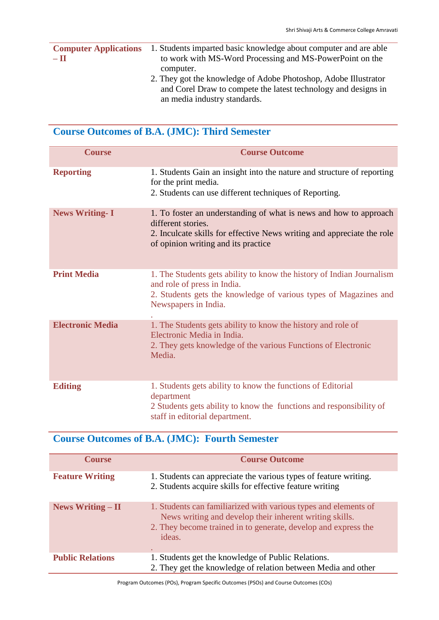|       | <b>Computer Applications</b> 1. Students imparted basic knowledge about computer and are able |
|-------|-----------------------------------------------------------------------------------------------|
| $-11$ | to work with MS-Word Processing and MS-PowerPoint on the                                      |
|       | computer.                                                                                     |
|       | 2. They got the knowledge of Adobe Photoshop, Adobe Illustrator                               |

and Corel Draw to compete the latest technology and designs in an media industry standards.

### **Course Outcomes of B.A. (JMC): Third Semester**

| <b>Course</b>           | <b>Course Outcome</b>                                                                                                                                                                                    |
|-------------------------|----------------------------------------------------------------------------------------------------------------------------------------------------------------------------------------------------------|
| <b>Reporting</b>        | 1. Students Gain an insight into the nature and structure of reporting<br>for the print media.<br>2. Students can use different techniques of Reporting.                                                 |
| <b>News Writing-I</b>   | 1. To foster an understanding of what is news and how to approach<br>different stories.<br>2. Inculcate skills for effective News writing and appreciate the role<br>of opinion writing and its practice |
| <b>Print Media</b>      | 1. The Students gets ability to know the history of Indian Journalism<br>and role of press in India.<br>2. Students gets the knowledge of various types of Magazines and<br>Newspapers in India.         |
| <b>Electronic Media</b> | 1. The Students gets ability to know the history and role of<br>Electronic Media in India.<br>2. They gets knowledge of the various Functions of Electronic<br>Media.                                    |
| <b>Editing</b>          | 1. Students gets ability to know the functions of Editorial<br>department<br>2 Students gets ability to know the functions and responsibility of<br>staff in editorial department.                       |

### **Course Outcomes of B.A. (JMC): Fourth Semester**

| <b>Course</b>           | <b>Course Outcome</b>                                                                                                                                                                                       |
|-------------------------|-------------------------------------------------------------------------------------------------------------------------------------------------------------------------------------------------------------|
| <b>Feature Writing</b>  | 1. Students can appreciate the various types of feature writing.<br>2. Students acquire skills for effective feature writing                                                                                |
| News Writing $-$ II     | 1. Students can familiarized with various types and elements of<br>News writing and develop their inherent writing skills.<br>2. They become trained in to generate, develop and express the<br>ideas.<br>٠ |
| <b>Public Relations</b> | 1. Students get the knowledge of Public Relations.<br>2. They get the knowledge of relation between Media and other                                                                                         |

Program Outcomes (POs), Program Specific Outcomes (PSOs) and Course Outcomes (COs)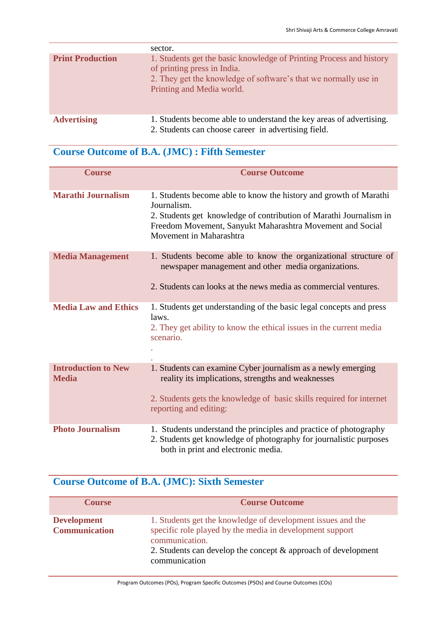|                         | sector.                                                                                                                                                                                            |
|-------------------------|----------------------------------------------------------------------------------------------------------------------------------------------------------------------------------------------------|
| <b>Print Production</b> | 1. Students get the basic knowledge of Printing Process and history<br>of printing press in India.<br>2. They get the knowledge of software's that we normally use in<br>Printing and Media world. |
| <b>Advertising</b>      | 1. Students become able to understand the key areas of advertising.<br>2. Students can choose career in advertising field.                                                                         |

### **Course Outcome of B.A. (JMC) : Fifth Semester**

| <b>Course</b>                              | <b>Course Outcome</b>                                                                                                                                                                                                                          |
|--------------------------------------------|------------------------------------------------------------------------------------------------------------------------------------------------------------------------------------------------------------------------------------------------|
| <b>Marathi Journalism</b>                  | 1. Students become able to know the history and growth of Marathi<br>Journalism.<br>2. Students get knowledge of contribution of Marathi Journalism in<br>Freedom Movement, Sanyukt Maharashtra Movement and Social<br>Movement in Maharashtra |
| <b>Media Management</b>                    | 1. Students become able to know the organizational structure of<br>newspaper management and other media organizations.<br>2. Students can looks at the news media as commercial ventures.                                                      |
| <b>Media Law and Ethics</b>                | 1. Students get understanding of the basic legal concepts and press<br>laws.<br>2. They get ability to know the ethical issues in the current media<br>scenario.                                                                               |
| <b>Introduction to New</b><br><b>Media</b> | 1. Students can examine Cyber journalism as a newly emerging<br>reality its implications, strengths and weaknesses<br>2. Students gets the knowledge of basic skills required for internet<br>reporting and editing:                           |
| <b>Photo Journalism</b>                    | 1. Students understand the principles and practice of photography<br>2. Students get knowledge of photography for journalistic purposes<br>both in print and electronic media.                                                                 |

## **Course Outcome of B.A. (JMC): Sixth Semester**

| <b>Course</b>                              | <b>Course Outcome</b>                                                                                                                                                                                                       |
|--------------------------------------------|-----------------------------------------------------------------------------------------------------------------------------------------------------------------------------------------------------------------------------|
| <b>Development</b><br><b>Communication</b> | 1. Students get the knowledge of development issues and the<br>specific role played by the media in development support<br>communication.<br>2. Students can develop the concept & approach of development<br>communication |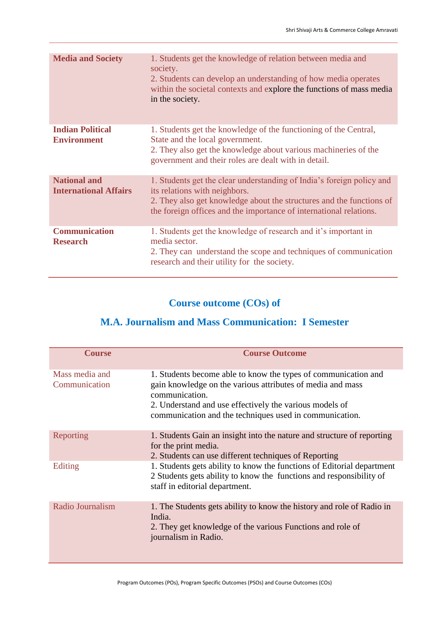| <b>Media and Society</b>                            | 1. Students get the knowledge of relation between media and<br>society.<br>2. Students can develop an understanding of how media operates<br>within the societal contexts and explore the functions of mass media<br>in the society.                 |
|-----------------------------------------------------|------------------------------------------------------------------------------------------------------------------------------------------------------------------------------------------------------------------------------------------------------|
| <b>Indian Political</b><br><b>Environment</b>       | 1. Students get the knowledge of the functioning of the Central,<br>State and the local government.<br>2. They also get the knowledge about various machineries of the<br>government and their roles are dealt with in detail.                       |
| <b>National and</b><br><b>International Affairs</b> | 1. Students get the clear understanding of India's foreign policy and<br>its relations with neighbors.<br>2. They also get knowledge about the structures and the functions of<br>the foreign offices and the importance of international relations. |
| <b>Communication</b><br><b>Research</b>             | 1. Students get the knowledge of research and it's important in<br>media sector.<br>2. They can understand the scope and techniques of communication<br>research and their utility for the society.                                                  |

### **Course outcome (COs) of**

## **M.A. Journalism and Mass Communication: I Semester**

| <b>Course</b>                   | <b>Course Outcome</b>                                                                                                                                                                                                                                                |
|---------------------------------|----------------------------------------------------------------------------------------------------------------------------------------------------------------------------------------------------------------------------------------------------------------------|
| Mass media and<br>Communication | 1. Students become able to know the types of communication and<br>gain knowledge on the various attributes of media and mass<br>communication.<br>2. Understand and use effectively the various models of<br>communication and the techniques used in communication. |
| Reporting                       | 1. Students Gain an insight into the nature and structure of reporting<br>for the print media.<br>2. Students can use different techniques of Reporting                                                                                                              |
| Editing                         | 1. Students gets ability to know the functions of Editorial department<br>2 Students gets ability to know the functions and responsibility of<br>staff in editorial department.                                                                                      |
| Radio Journalism                | 1. The Students gets ability to know the history and role of Radio in<br>India.<br>2. They get knowledge of the various Functions and role of<br>journalism in Radio.                                                                                                |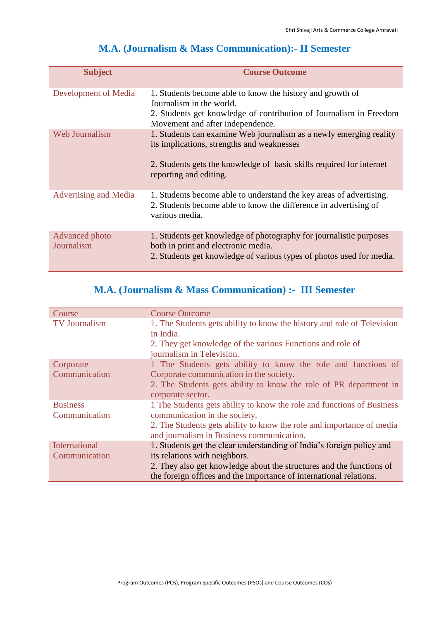| <b>Subject</b>               | <b>Course Outcome</b>                                                                                                                                                             |
|------------------------------|-----------------------------------------------------------------------------------------------------------------------------------------------------------------------------------|
| Development of Media         | 1. Students become able to know the history and growth of<br>Journalism in the world.                                                                                             |
|                              | 2. Students get knowledge of contribution of Journalism in Freedom<br>Movement and after independence.                                                                            |
| Web Journalism               | 1. Students can examine Web journalism as a newly emerging reality<br>its implications, strengths and weaknesses                                                                  |
|                              | 2. Students gets the knowledge of basic skills required for internet<br>reporting and editing.                                                                                    |
| Advertising and Media        | 1. Students become able to understand the key areas of advertising.<br>2. Students become able to know the difference in advertising of<br>various media.                         |
| Advanced photo<br>Journalism | 1. Students get knowledge of photography for journalistic purposes<br>both in print and electronic media.<br>2. Students get knowledge of various types of photos used for media. |

## **M.A. (Journalism & Mass Communication):- II Semester**

## **M.A. (Journalism & Mass Communication) :- III Semester**

| Course               | <b>Course Outcome</b>                                                   |
|----------------------|-------------------------------------------------------------------------|
| <b>TV Journalism</b> | 1. The Students gets ability to know the history and role of Television |
|                      | in India.                                                               |
|                      | 2. They get knowledge of the various Functions and role of              |
|                      | journalism in Television.                                               |
| Corporate            | 1 The Students gets ability to know the role and functions of           |
| Communication        | Corporate communication in the society.                                 |
|                      | 2. The Students gets ability to know the role of PR department in       |
|                      | corporate sector.                                                       |
| <b>Business</b>      | 1 The Students gets ability to know the role and functions of Business  |
| Communication        | communication in the society.                                           |
|                      | 2. The Students gets ability to know the role and importance of media   |
|                      | and journalism in Business communication.                               |
| International        | 1. Students get the clear understanding of India's foreign policy and   |
| Communication        | its relations with neighbors.                                           |
|                      | 2. They also get knowledge about the structures and the functions of    |
|                      | the foreign offices and the importance of international relations.      |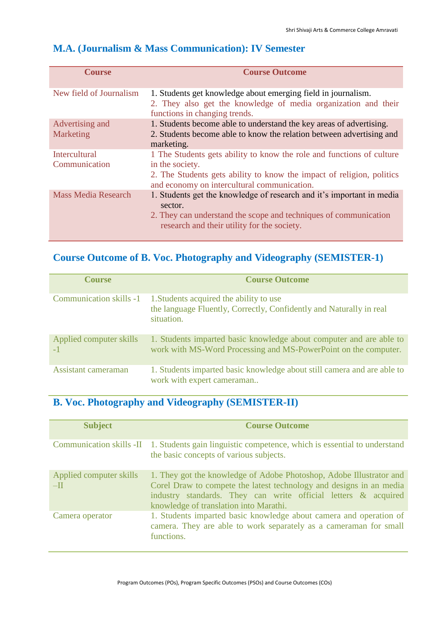| <b>Course</b>                         | <b>Course Outcome</b>                                                                                                                                                                                            |
|---------------------------------------|------------------------------------------------------------------------------------------------------------------------------------------------------------------------------------------------------------------|
| New field of Journalism               | 1. Students get knowledge about emerging field in journalism.<br>2. They also get the knowledge of media organization and their<br>functions in changing trends.                                                 |
| Advertising and                       | 1. Students become able to understand the key areas of advertising.                                                                                                                                              |
| Marketing                             | 2. Students become able to know the relation between advertising and<br>marketing.                                                                                                                               |
| <b>Intercultural</b><br>Communication | 1 The Students gets ability to know the role and functions of culture<br>in the society.<br>2. The Students gets ability to know the impact of religion, politics<br>and economy on intercultural communication. |
| <b>Mass Media Research</b>            | 1. Students get the knowledge of research and it's important in media<br>sector.<br>2. They can understand the scope and techniques of communication<br>research and their utility for the society.              |

### **M.A. (Journalism & Mass Communication): IV Semester**

## **Course Outcome of B. Voc. Photography and Videography (SEMISTER-1)**

| <b>Course</b>                  | <b>Course Outcome</b>                                                                                                                  |
|--------------------------------|----------------------------------------------------------------------------------------------------------------------------------------|
| <b>Communication skills -1</b> | 1. Students acquired the ability to use<br>the language Fluently, Correctly, Confidently and Naturally in real<br>situation.           |
| Applied computer skills        | 1. Students imparted basic knowledge about computer and are able to<br>work with MS-Word Processing and MS-PowerPoint on the computer. |
| Assistant cameraman            | 1. Students imparted basic knowledge about still camera and are able to<br>work with expert cameraman                                  |

## **B. Voc. Photography and Videography (SEMISTER-II)**

| <b>Subject</b>                   | <b>Course Outcome</b>                                                                                                                                                                                                                                  |
|----------------------------------|--------------------------------------------------------------------------------------------------------------------------------------------------------------------------------------------------------------------------------------------------------|
|                                  | Communication skills -II 1. Students gain linguistic competence, which is essential to understand<br>the basic concepts of various subjects.                                                                                                           |
| Applied computer skills<br>$-II$ | 1. They got the knowledge of Adobe Photoshop, Adobe Illustrator and<br>Corel Draw to compete the latest technology and designs in an media<br>industry standards. They can write official letters & acquired<br>knowledge of translation into Marathi. |
| Camera operator                  | 1. Students imparted basic knowledge about camera and operation of<br>camera. They are able to work separately as a cameraman for small<br>functions.                                                                                                  |